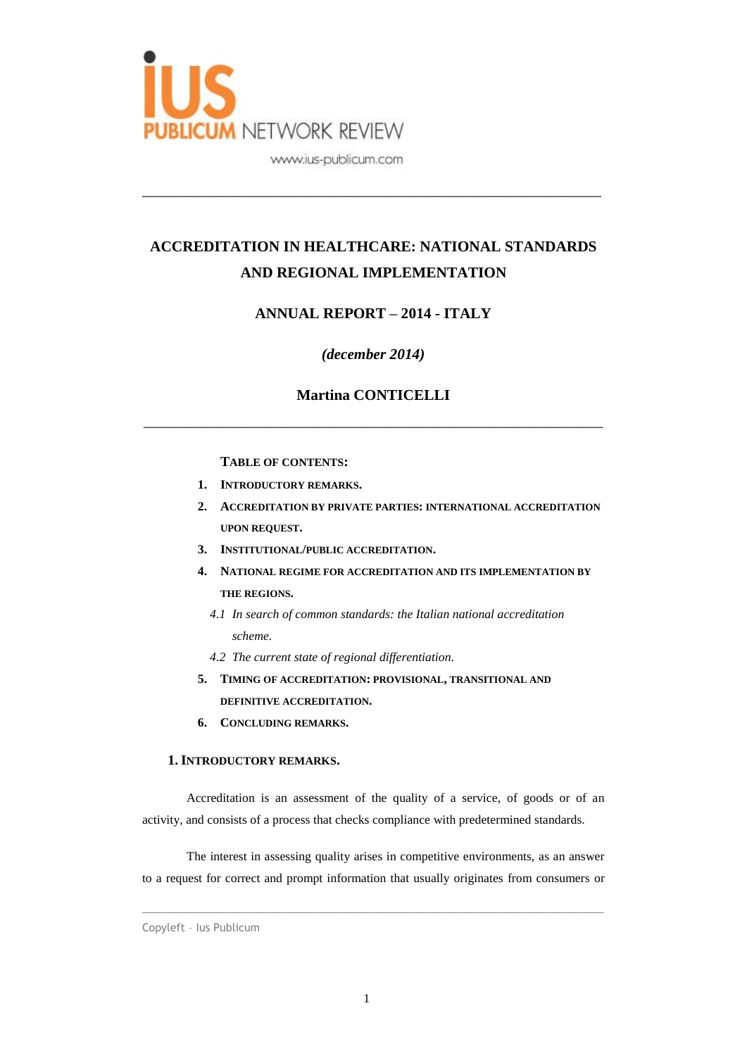

# **ACCREDITATION IN HEALTHCARE: NATIONAL STANDARDS AND REGIONAL IMPLEMENTATION**

\_\_\_\_\_\_\_\_\_\_\_\_\_\_\_\_\_\_\_\_\_\_\_\_\_\_\_\_\_\_\_\_\_\_\_\_\_\_\_\_\_\_\_\_\_\_\_\_\_\_\_\_\_\_\_\_\_\_\_\_\_

# **ANNUAL REPORT – 2014 - ITALY**

## *(december 2014)*

# **Martina CONTICELLI**

\_\_\_\_\_\_\_\_\_\_\_\_\_\_\_\_\_\_\_\_\_\_\_\_\_\_\_\_\_\_\_\_\_\_\_\_\_\_\_\_\_\_\_\_\_\_\_\_\_\_\_\_\_\_\_\_\_\_\_\_\_

### **TABLE OF CONTENTS:**

- **1. INTRODUCTORY REMARKS.**
- **2. ACCREDITATION BY PRIVATE PARTIES: INTERNATIONAL ACCREDITATION UPON REQUEST.**
- **3. INSTITUTIONAL/PUBLIC ACCREDITATION.**
- **4. NATIONAL REGIME FOR ACCREDITATION AND ITS IMPLEMENTATION BY THE REGIONS.**
	- *4.1 In search of common standards: the Italian national accreditation scheme.*
	- *4.2 The current state of regional differentiation.*
- **5. TIMING OF ACCREDITATION: PROVISIONAL, TRANSITIONAL AND DEFINITIVE ACCREDITATION.**
- **6. CONCLUDING REMARKS.**

#### **1. INTRODUCTORY REMARKS.**

Accreditation is an assessment of the quality of a service, of goods or of an activity, and consists of a process that checks compliance with predetermined standards.

The interest in assessing quality arises in competitive environments, as an answer to a request for correct and prompt information that usually originates from consumers or

Copyleft – Ius Publicum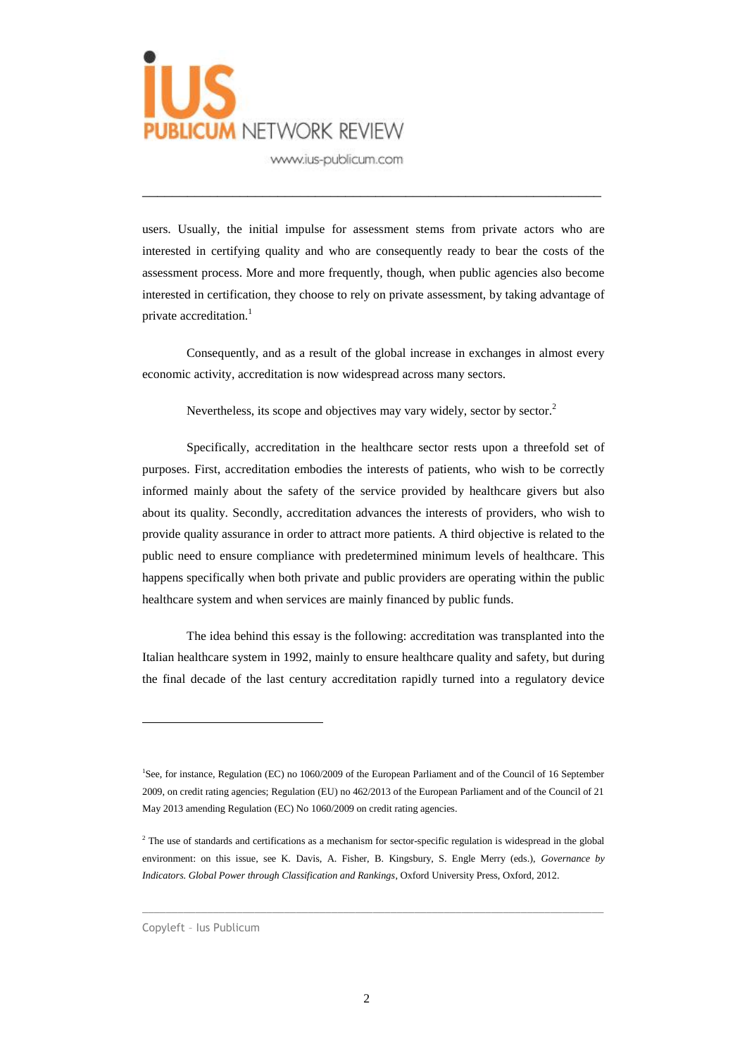

users. Usually, the initial impulse for assessment stems from private actors who are interested in certifying quality and who are consequently ready to bear the costs of the assessment process. More and more frequently, though, when public agencies also become interested in certification, they choose to rely on private assessment, by taking advantage of private accreditation.<sup>1</sup>

\_\_\_\_\_\_\_\_\_\_\_\_\_\_\_\_\_\_\_\_\_\_\_\_\_\_\_\_\_\_\_\_\_\_\_\_\_\_\_\_\_\_\_\_\_\_\_\_\_\_\_\_\_\_\_\_\_\_\_\_\_

Consequently, and as a result of the global increase in exchanges in almost every economic activity, accreditation is now widespread across many sectors.

Nevertheless, its scope and objectives may vary widely, sector by sector.<sup>2</sup>

Specifically, accreditation in the healthcare sector rests upon a threefold set of purposes. First, accreditation embodies the interests of patients, who wish to be correctly informed mainly about the safety of the service provided by healthcare givers but also about its quality. Secondly, accreditation advances the interests of providers, who wish to provide quality assurance in order to attract more patients. A third objective is related to the public need to ensure compliance with predetermined minimum levels of healthcare. This happens specifically when both private and public providers are operating within the public healthcare system and when services are mainly financed by public funds.

The idea behind this essay is the following: accreditation was transplanted into the Italian healthcare system in 1992, mainly to ensure healthcare quality and safety, but during the final decade of the last century accreditation rapidly turned into a regulatory device

 $\_$  ,  $\_$  ,  $\_$  ,  $\_$  ,  $\_$  ,  $\_$  ,  $\_$  ,  $\_$  ,  $\_$  ,  $\_$  ,  $\_$  ,  $\_$  ,  $\_$  ,  $\_$  ,  $\_$  ,  $\_$  ,  $\_$  ,  $\_$  ,  $\_$  ,  $\_$  ,  $\_$  ,  $\_$  ,  $\_$  ,  $\_$  ,  $\_$  ,  $\_$  ,  $\_$  ,  $\_$  ,  $\_$  ,  $\_$  ,  $\_$  ,  $\_$  ,  $\_$  ,  $\_$  ,  $\_$  ,  $\_$  ,  $\_$  ,

<sup>&</sup>lt;sup>1</sup>See, for instance, Regulation (EC) no 1060/2009 of the European Parliament and of the Council of 16 September 2009, on credit rating agencies; Regulation (EU) no 462/2013 of the European Parliament and of the Council of 21 May 2013 amending Regulation (EC) No 1060/2009 on credit rating agencies.

<sup>&</sup>lt;sup>2</sup> The use of standards and certifications as a mechanism for sector-specific regulation is widespread in the global environment: on this issue, see K. Davis, A. Fisher, B. Kingsbury, S. Engle Merry (eds.), *Governance by Indicators. Global Power through Classification and Rankings*, Oxford University Press, Oxford, 2012.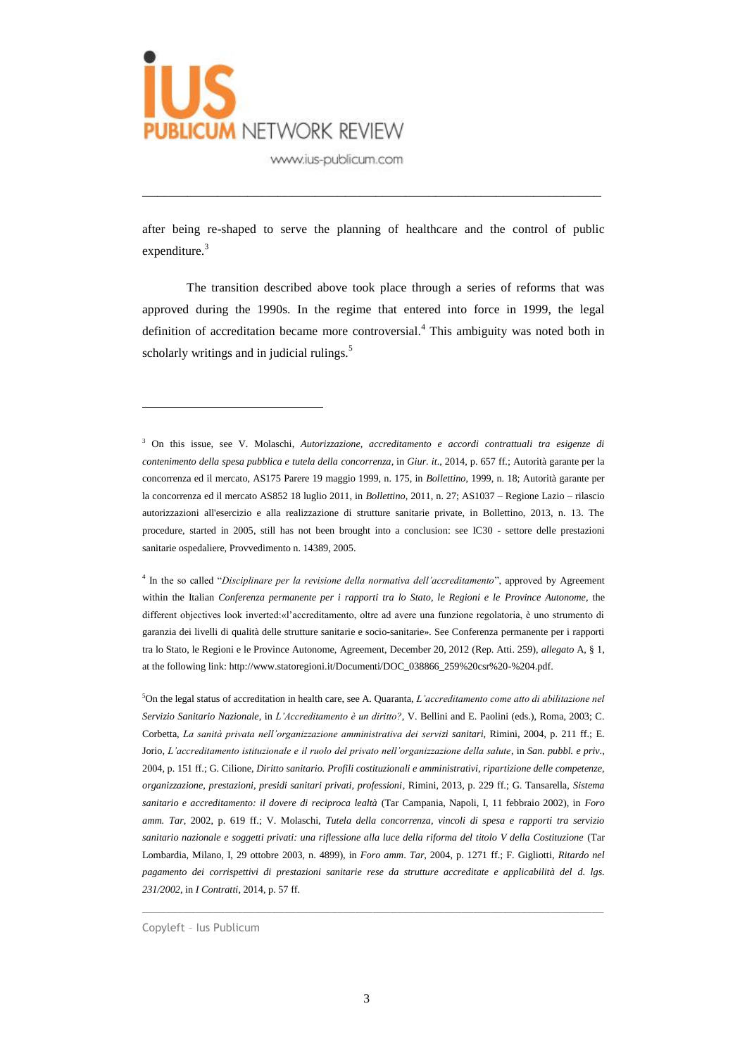

after being re-shaped to serve the planning of healthcare and the control of public expenditure. $3$ 

\_\_\_\_\_\_\_\_\_\_\_\_\_\_\_\_\_\_\_\_\_\_\_\_\_\_\_\_\_\_\_\_\_\_\_\_\_\_\_\_\_\_\_\_\_\_\_\_\_\_\_\_\_\_\_\_\_\_\_\_\_

The transition described above took place through a series of reforms that was approved during the 1990s. In the regime that entered into force in 1999, the legal definition of accreditation became more controversial.<sup>4</sup> This ambiguity was noted both in scholarly writings and in judicial rulings.<sup>5</sup>

4 In the so called "*Disciplinare per la revisione della normativa dell'accreditamento*", approved by Agreement within the Italian *Conferenza permanente per i rapporti tra lo Stato, le Regioni e le Province Autonome*, the different objectives look inverted:«l'accreditamento, oltre ad avere una funzione regolatoria, è uno strumento di garanzia dei livelli di qualità delle strutture sanitarie e socio-sanitarie». See Conferenza permanente per i rapporti tra lo Stato, le Regioni e le Province Autonome, Agreement, December 20, 2012 (Rep. Atti. 259), *allegato* A, § 1, at the following link: http://www.statoregioni.it/Documenti/DOC\_038866\_259%20csr%20-%204.pdf.

<sup>5</sup>On the legal status of accreditation in health care, see A. Quaranta, *L'accreditamento come atto di abilitazione nel Servizio Sanitario Nazionale*, in *L'Accreditamento è un diritto?*, V. Bellini and E. Paolini (eds.), Roma, 2003; C. Corbetta, *La sanità privata nell'organizzazione amministrativa dei servizi sanitari*, Rimini, 2004, p. 211 ff.; E. Jorio, *L'accreditamento istituzionale e il ruolo del privato nell'organizzazione della salute*, in *San. pubbl. e priv*., 2004, p. 151 ff.; G. Cilione, *Diritto sanitario. Profili costituzionali e amministrativi, ripartizione delle competenze, organizzazione, prestazioni, presidi sanitari privati, professioni*, Rimini, 2013, p. 229 ff.; G. Tansarella, *Sistema sanitario e accreditamento: il dovere di reciproca lealtà* (Tar Campania, Napoli, I, 11 febbraio 2002), in *Foro amm. Tar*, 2002, p. 619 ff.; V. Molaschi, *Tutela della concorrenza, vincoli di spesa e rapporti tra servizio sanitario nazionale e soggetti privati: una riflessione alla luce della riforma del titolo V della Costituzione* (Tar Lombardia, Milano, I, 29 ottobre 2003, n. 4899), in *Foro amm*. *Tar*, 2004, p. 1271 ff.; F. Gigliotti, *Ritardo nel pagamento dei corrispettivi di prestazioni sanitarie rese da strutture accreditate e applicabilità del d. lgs. 231/2002*, in *I Contratti*, 2014, p. 57 ff.

 $\_$  ,  $\_$  ,  $\_$  ,  $\_$  ,  $\_$  ,  $\_$  ,  $\_$  ,  $\_$  ,  $\_$  ,  $\_$  ,  $\_$  ,  $\_$  ,  $\_$  ,  $\_$  ,  $\_$  ,  $\_$  ,  $\_$  ,  $\_$  ,  $\_$  ,  $\_$  ,  $\_$  ,  $\_$  ,  $\_$  ,  $\_$  ,  $\_$  ,  $\_$  ,  $\_$  ,  $\_$  ,  $\_$  ,  $\_$  ,  $\_$  ,  $\_$  ,  $\_$  ,  $\_$  ,  $\_$  ,  $\_$  ,  $\_$  ,

Copyleft – Ius Publicum

<sup>3</sup> On this issue, see V. Molaschi, *Autorizzazione, accreditamento e accordi contrattuali tra esigenze di contenimento della spesa pubblica e tutela della concorrenza*, in *Giur. it*., 2014, p. 657 ff.; Autorità garante per la concorrenza ed il mercato, AS175 Parere 19 maggio 1999, n. 175, in *Bollettino*, 1999, n. 18; Autorità garante per la concorrenza ed il mercato AS852 18 luglio 2011, in *Bollettino*, 2011, n. 27; AS1037 – Regione Lazio – rilascio autorizzazioni all'esercizio e alla realizzazione di strutture sanitarie private, in Bollettino, 2013, n. 13. The procedure, started in 2005, still has not been brought into a conclusion: see IC30 - settore delle prestazioni sanitarie ospedaliere, Provvedimento n. 14389, 2005.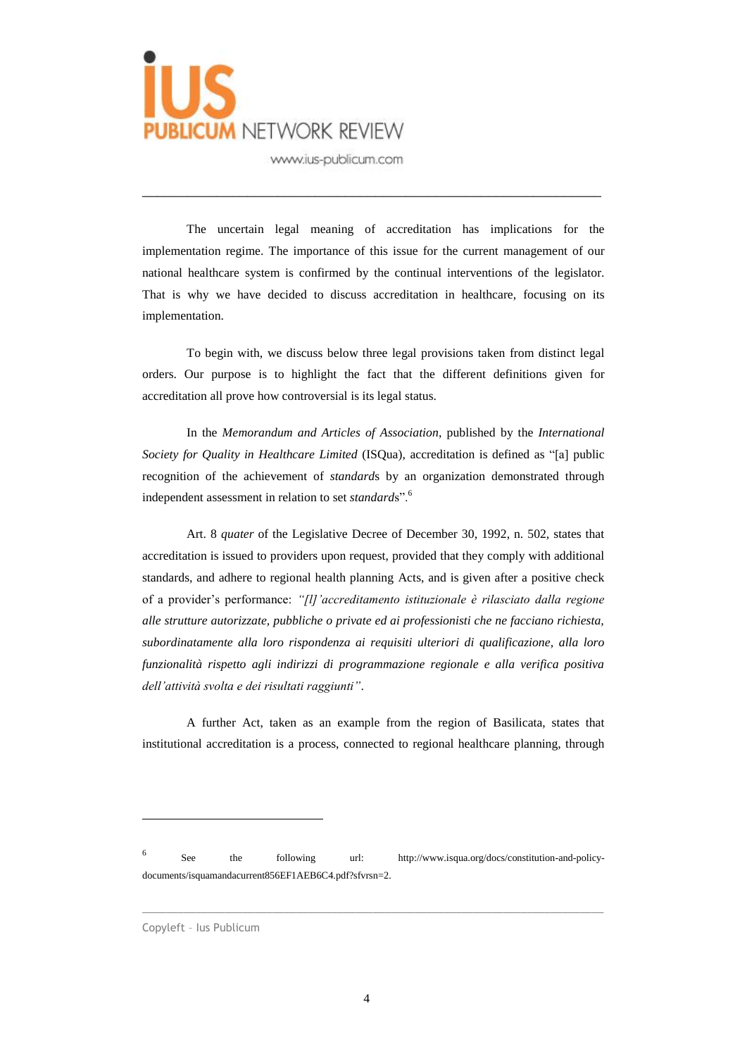

The uncertain legal meaning of accreditation has implications for the implementation regime. The importance of this issue for the current management of our national healthcare system is confirmed by the continual interventions of the legislator. That is why we have decided to discuss accreditation in healthcare, focusing on its implementation.

\_\_\_\_\_\_\_\_\_\_\_\_\_\_\_\_\_\_\_\_\_\_\_\_\_\_\_\_\_\_\_\_\_\_\_\_\_\_\_\_\_\_\_\_\_\_\_\_\_\_\_\_\_\_\_\_\_\_\_\_\_

To begin with, we discuss below three legal provisions taken from distinct legal orders. Our purpose is to highlight the fact that the different definitions given for accreditation all prove how controversial is its legal status.

In the *Memorandum and Articles of Association*, published by the *International Society for Quality in Healthcare Limited* (ISQua), accreditation is defined as "[a] public recognition of the achievement of *standard*s by an organization demonstrated through independent assessment in relation to set *standard*s".<sup>6</sup>

Art. 8 *quater* of the Legislative Decree of December 30, 1992, n. 502, states that accreditation is issued to providers upon request, provided that they comply with additional standards, and adhere to regional health planning Acts, and is given after a positive check of a provider's performance: *"[l]'accreditamento istituzionale è rilasciato dalla regione alle strutture autorizzate, pubbliche o private ed ai professionisti che ne facciano richiesta, subordinatamente alla loro rispondenza ai requisiti ulteriori di qualificazione, alla loro funzionalità rispetto agli indirizzi di programmazione regionale e alla verifica positiva dell'attività svolta e dei risultati raggiunti"*.

A further Act, taken as an example from the region of Basilicata, states that institutional accreditation is a process, connected to regional healthcare planning, through

6 See the following url: http://www.isqua.org/docs/constitution-and-policydocuments/isquamandacurrent856EF1AEB6C4.pdf?sfvrsn=2.

 $\_$  ,  $\_$  ,  $\_$  ,  $\_$  ,  $\_$  ,  $\_$  ,  $\_$  ,  $\_$  ,  $\_$  ,  $\_$  ,  $\_$  ,  $\_$  ,  $\_$  ,  $\_$  ,  $\_$  ,  $\_$  ,  $\_$  ,  $\_$  ,  $\_$  ,  $\_$  ,  $\_$  ,  $\_$  ,  $\_$  ,  $\_$  ,  $\_$  ,  $\_$  ,  $\_$  ,  $\_$  ,  $\_$  ,  $\_$  ,  $\_$  ,  $\_$  ,  $\_$  ,  $\_$  ,  $\_$  ,  $\_$  ,  $\_$  ,

Copyleft – Ius Publicum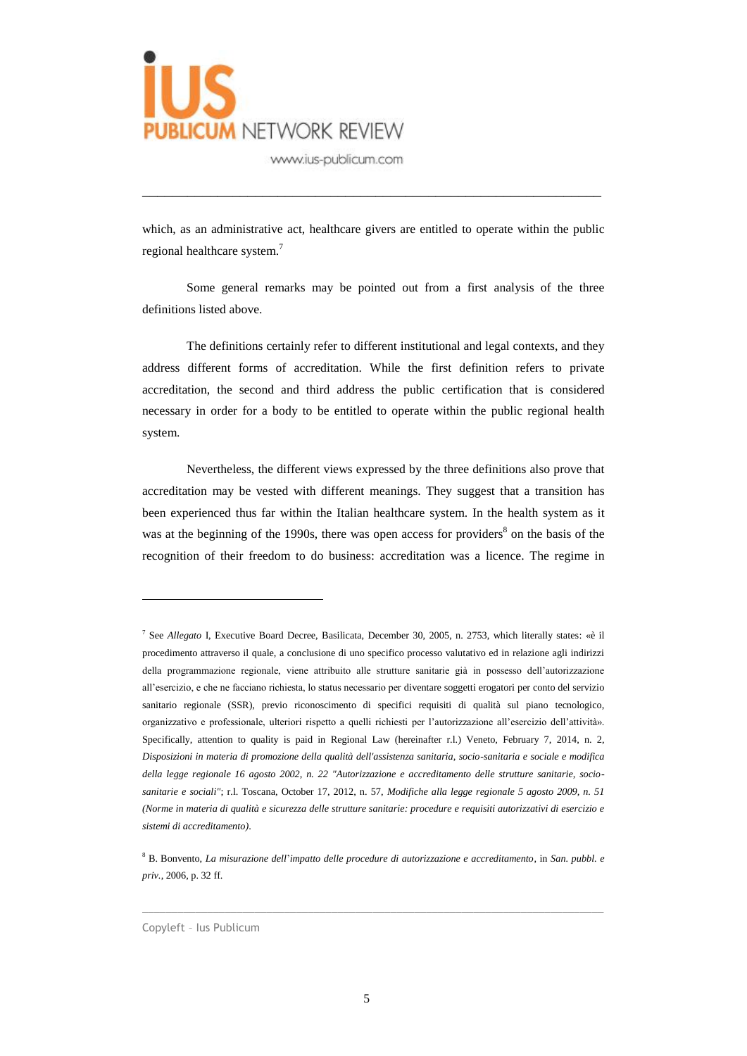

which, as an administrative act, healthcare givers are entitled to operate within the public regional healthcare system.<sup>7</sup>

\_\_\_\_\_\_\_\_\_\_\_\_\_\_\_\_\_\_\_\_\_\_\_\_\_\_\_\_\_\_\_\_\_\_\_\_\_\_\_\_\_\_\_\_\_\_\_\_\_\_\_\_\_\_\_\_\_\_\_\_\_

Some general remarks may be pointed out from a first analysis of the three definitions listed above.

The definitions certainly refer to different institutional and legal contexts, and they address different forms of accreditation. While the first definition refers to private accreditation, the second and third address the public certification that is considered necessary in order for a body to be entitled to operate within the public regional health system.

Nevertheless, the different views expressed by the three definitions also prove that accreditation may be vested with different meanings. They suggest that a transition has been experienced thus far within the Italian healthcare system. In the health system as it was at the beginning of the 1990s, there was open access for providers $8$  on the basis of the recognition of their freedom to do business: accreditation was a licence. The regime in

<sup>8</sup> B. Bonvento, *La misurazione dell*'*impatto delle procedure di autorizzazione e accreditamento*, in *San. pubbl. e priv.*, 2006, p. 32 ff.

 $\_$  ,  $\_$  ,  $\_$  ,  $\_$  ,  $\_$  ,  $\_$  ,  $\_$  ,  $\_$  ,  $\_$  ,  $\_$  ,  $\_$  ,  $\_$  ,  $\_$  ,  $\_$  ,  $\_$  ,  $\_$  ,  $\_$  ,  $\_$  ,  $\_$  ,  $\_$  ,  $\_$  ,  $\_$  ,  $\_$  ,  $\_$  ,  $\_$  ,  $\_$  ,  $\_$  ,  $\_$  ,  $\_$  ,  $\_$  ,  $\_$  ,  $\_$  ,  $\_$  ,  $\_$  ,  $\_$  ,  $\_$  ,  $\_$  ,

Copyleft – Ius Publicum

<sup>7</sup> See *Allegato* I, Executive Board Decree, Basilicata, December 30, 2005, n. 2753, which literally states: «è il procedimento attraverso il quale, a conclusione di uno specifico processo valutativo ed in relazione agli indirizzi della programmazione regionale, viene attribuito alle strutture sanitarie già in possesso dell'autorizzazione all'esercizio, e che ne facciano richiesta, lo status necessario per diventare soggetti erogatori per conto del servizio sanitario regionale (SSR), previo riconoscimento di specifici requisiti di qualità sul piano tecnologico, organizzativo e professionale, ulteriori rispetto a quelli richiesti per l'autorizzazione all'esercizio dell'attività». Specifically, attention to quality is paid in Regional Law (hereinafter r.l.) Veneto, February 7, 2014, n. 2, *Disposizioni in materia di promozione della qualità dell'assistenza sanitaria, socio-sanitaria e sociale e modifica della legge regionale 16 agosto 2002, n. 22 "Autorizzazione e accreditamento delle strutture sanitarie, sociosanitarie e sociali"*; r.l. Toscana, October 17, 2012, n. 57, *Modifiche alla legge regionale 5 agosto 2009, n. 51 (Norme in materia di qualità e sicurezza delle strutture sanitarie: procedure e requisiti autorizzativi di esercizio e sistemi di accreditamento)*.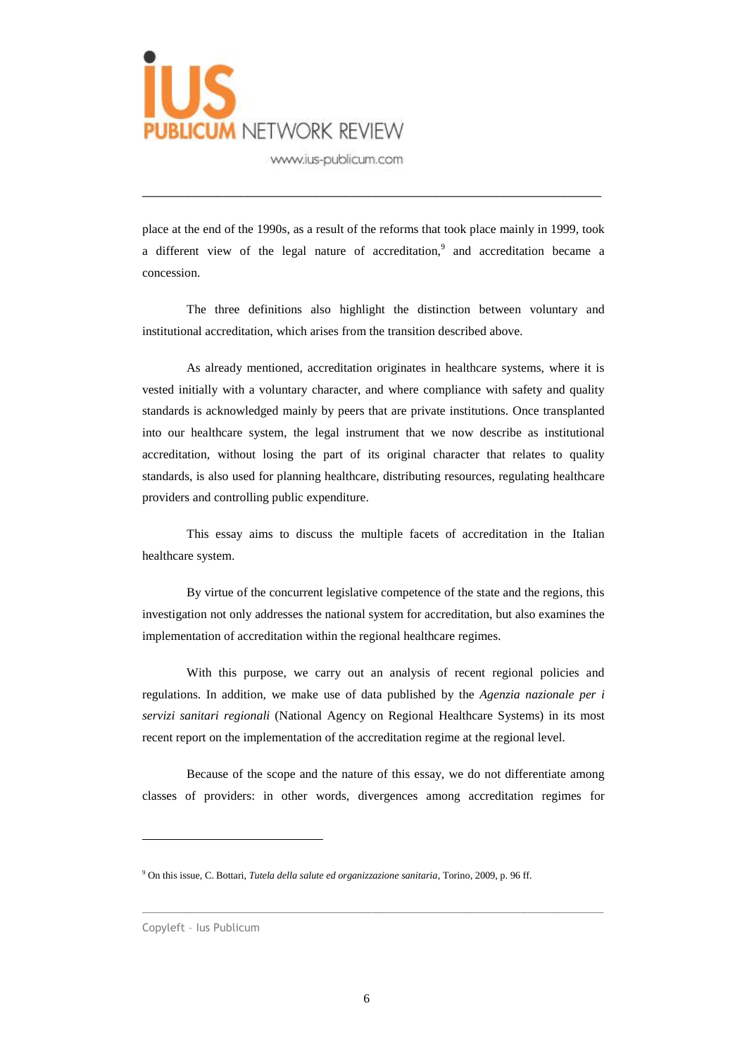

place at the end of the 1990s, as a result of the reforms that took place mainly in 1999, took a different view of the legal nature of accreditation,<sup>9</sup> and accreditation became a concession.

\_\_\_\_\_\_\_\_\_\_\_\_\_\_\_\_\_\_\_\_\_\_\_\_\_\_\_\_\_\_\_\_\_\_\_\_\_\_\_\_\_\_\_\_\_\_\_\_\_\_\_\_\_\_\_\_\_\_\_\_\_

The three definitions also highlight the distinction between voluntary and institutional accreditation, which arises from the transition described above.

As already mentioned, accreditation originates in healthcare systems, where it is vested initially with a voluntary character, and where compliance with safety and quality standards is acknowledged mainly by peers that are private institutions. Once transplanted into our healthcare system, the legal instrument that we now describe as institutional accreditation, without losing the part of its original character that relates to quality standards, is also used for planning healthcare, distributing resources, regulating healthcare providers and controlling public expenditure.

This essay aims to discuss the multiple facets of accreditation in the Italian healthcare system.

By virtue of the concurrent legislative competence of the state and the regions, this investigation not only addresses the national system for accreditation, but also examines the implementation of accreditation within the regional healthcare regimes.

With this purpose, we carry out an analysis of recent regional policies and regulations. In addition, we make use of data published by the *Agenzia nazionale per i servizi sanitari regionali* (National Agency on Regional Healthcare Systems) in its most recent report on the implementation of the accreditation regime at the regional level.

Because of the scope and the nature of this essay, we do not differentiate among classes of providers: in other words, divergences among accreditation regimes for

 $\_$  ,  $\_$  ,  $\_$  ,  $\_$  ,  $\_$  ,  $\_$  ,  $\_$  ,  $\_$  ,  $\_$  ,  $\_$  ,  $\_$  ,  $\_$  ,  $\_$  ,  $\_$  ,  $\_$  ,  $\_$  ,  $\_$  ,  $\_$  ,  $\_$  ,  $\_$  ,  $\_$  ,  $\_$  ,  $\_$  ,  $\_$  ,  $\_$  ,  $\_$  ,  $\_$  ,  $\_$  ,  $\_$  ,  $\_$  ,  $\_$  ,  $\_$  ,  $\_$  ,  $\_$  ,  $\_$  ,  $\_$  ,  $\_$  ,

<sup>9</sup> On this issue, C. Bottari, *Tutela della salute ed organizzazione sanitaria*, Torino, 2009, p. 96 ff.

Copyleft – Ius Publicum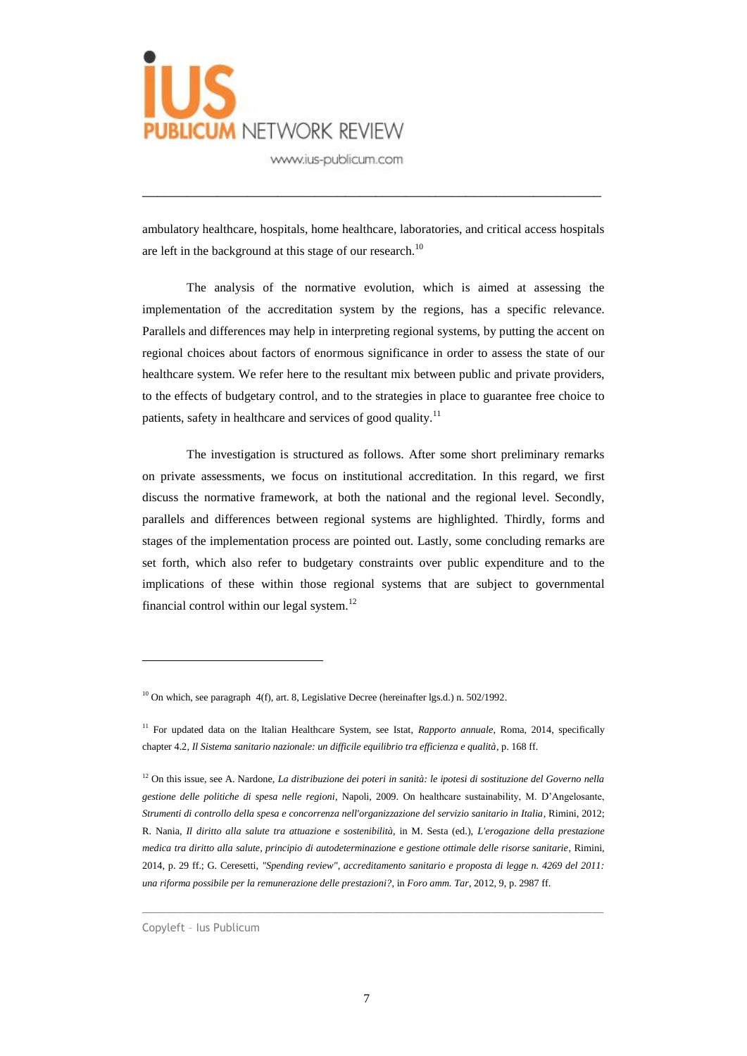

ambulatory healthcare, hospitals, home healthcare, laboratories, and critical access hospitals are left in the background at this stage of our research.<sup>10</sup>

\_\_\_\_\_\_\_\_\_\_\_\_\_\_\_\_\_\_\_\_\_\_\_\_\_\_\_\_\_\_\_\_\_\_\_\_\_\_\_\_\_\_\_\_\_\_\_\_\_\_\_\_\_\_\_\_\_\_\_\_\_

The analysis of the normative evolution, which is aimed at assessing the implementation of the accreditation system by the regions, has a specific relevance. Parallels and differences may help in interpreting regional systems, by putting the accent on regional choices about factors of enormous significance in order to assess the state of our healthcare system. We refer here to the resultant mix between public and private providers, to the effects of budgetary control, and to the strategies in place to guarantee free choice to patients, safety in healthcare and services of good quality.<sup>11</sup>

The investigation is structured as follows. After some short preliminary remarks on private assessments, we focus on institutional accreditation. In this regard, we first discuss the normative framework, at both the national and the regional level. Secondly, parallels and differences between regional systems are highlighted. Thirdly, forms and stages of the implementation process are pointed out. Lastly, some concluding remarks are set forth, which also refer to budgetary constraints over public expenditure and to the implications of these within those regional systems that are subject to governmental financial control within our legal system.<sup>12</sup>

 $\_$  ,  $\_$  ,  $\_$  ,  $\_$  ,  $\_$  ,  $\_$  ,  $\_$  ,  $\_$  ,  $\_$  ,  $\_$  ,  $\_$  ,  $\_$  ,  $\_$  ,  $\_$  ,  $\_$  ,  $\_$  ,  $\_$  ,  $\_$  ,  $\_$  ,  $\_$  ,  $\_$  ,  $\_$  ,  $\_$  ,  $\_$  ,  $\_$  ,  $\_$  ,  $\_$  ,  $\_$  ,  $\_$  ,  $\_$  ,  $\_$  ,  $\_$  ,  $\_$  ,  $\_$  ,  $\_$  ,  $\_$  ,  $\_$  ,

<sup>&</sup>lt;sup>10</sup> On which, see paragraph  $4(f)$ , art. 8, Legislative Decree (hereinafter lgs.d.) n. 502/1992.

<sup>&</sup>lt;sup>11</sup> For updated data on the Italian Healthcare System, see Istat, *Rapporto annuale*, Roma, 2014, specifically chapter 4.2*, Il Sistema sanitario nazionale: un difficile equilibrio tra efficienza e qualità*, p. 168 ff.

<sup>12</sup> On this issue, see A. Nardone, *La distribuzione dei poteri in sanità: le ipotesi di sostituzione del Governo nella gestione delle politiche di spesa nelle regioni*, Napoli, 2009. On healthcare sustainability, M. D'Angelosante, *Strumenti di controllo della spesa e concorrenza nell'organizzazione del servizio sanitario in Italia*, Rimini, 2012; R. Nania, *Il diritto alla salute tra attuazione e sostenibilità*, in M. Sesta (ed.), *L'erogazione della prestazione medica tra diritto alla salute, principio di autodeterminazione e gestione ottimale delle risorse sanitarie*, Rimini, 2014, p. 29 ff.; G. Ceresetti, *"Spending review", accreditamento sanitario e proposta di legge n. 4269 del 2011: una riforma possibile per la remunerazione delle prestazioni?*, in *Foro amm. Tar*, 2012, 9, p. 2987 ff.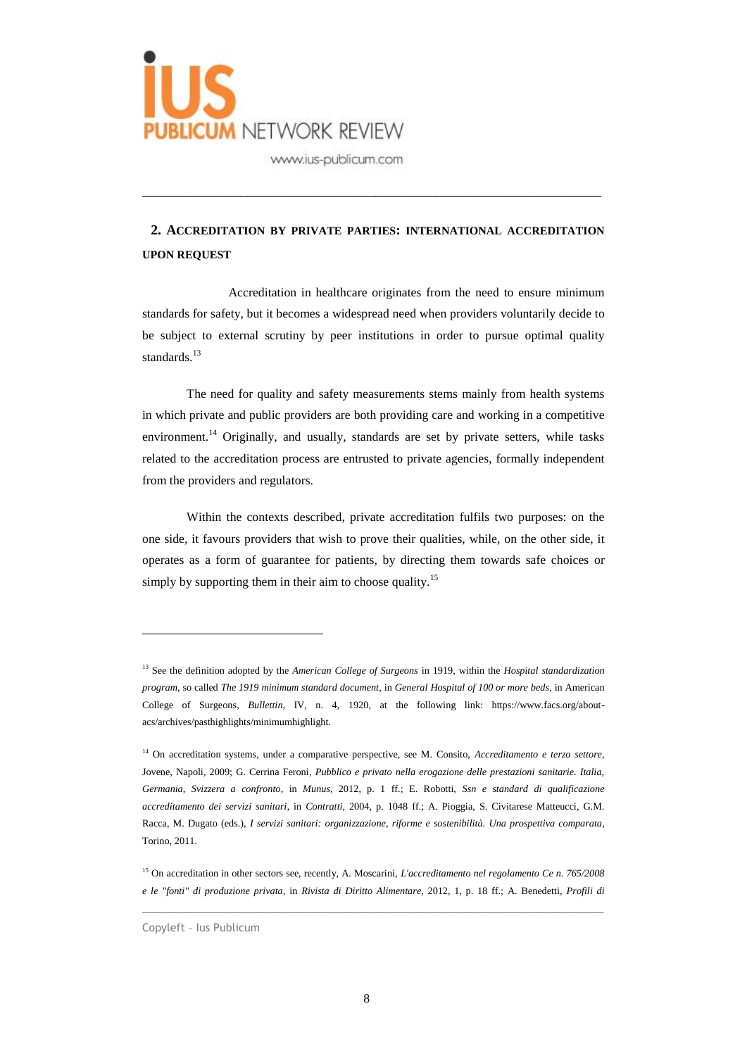

# **2. ACCREDITATION BY PRIVATE PARTIES: INTERNATIONAL ACCREDITATION UPON REQUEST**

\_\_\_\_\_\_\_\_\_\_\_\_\_\_\_\_\_\_\_\_\_\_\_\_\_\_\_\_\_\_\_\_\_\_\_\_\_\_\_\_\_\_\_\_\_\_\_\_\_\_\_\_\_\_\_\_\_\_\_\_\_

Accreditation in healthcare originates from the need to ensure minimum standards for safety, but it becomes a widespread need when providers voluntarily decide to be subject to external scrutiny by peer institutions in order to pursue optimal quality standards.<sup>13</sup>

The need for quality and safety measurements stems mainly from health systems in which private and public providers are both providing care and working in a competitive environment.<sup>14</sup> Originally, and usually, standards are set by private setters, while tasks related to the accreditation process are entrusted to private agencies, formally independent from the providers and regulators.

Within the contexts described, private accreditation fulfils two purposes: on the one side, it favours providers that wish to prove their qualities, while, on the other side, it operates as a form of guarantee for patients, by directing them towards safe choices or simply by supporting them in their aim to choose quality.<sup>15</sup>

 $\_$  , and the set of the set of the set of the set of the set of the set of the set of the set of the set of the set of the set of the set of the set of the set of the set of the set of the set of the set of the set of th

<sup>13</sup> See the definition adopted by the *American College of Surgeons* in 1919, within the *Hospital standardization program*, so called *The 1919 minimum standard document*, in *General Hospital of 100 or more beds*, in American College of Surgeons, *Bullettin*, IV, n. 4, 1920, at the following link: https://www.facs.org/aboutacs/archives/pasthighlights/minimumhighlight.

<sup>&</sup>lt;sup>14</sup> On accreditation systems, under a comparative perspective, see M. Consito, *Accreditamento e terzo settore*, Jovene, Napoli, 2009; G. Cerrina Feroni*, Pubblico e privato nella erogazione delle prestazioni sanitarie. Italia, Germania, Svizzera a confronto*, in *Munus*, 2012, p. 1 ff.; E. Robotti, *Ssn e standard di qualificazione accreditamento dei servizi sanitari*, in *Contratti*, 2004, p. 1048 ff.; A. Pioggia, S. Civitarese Matteucci, G.M. Racca, M. Dugato (eds.), *I servizi sanitari: organizzazione, riforme e sostenibilità. Una prospettiva comparata*, Torino, 2011.

<sup>15</sup> On accreditation in other sectors see, recently, A. Moscarini, *L'accreditamento nel regolamento Ce n. 765/2008 e le "fonti" di produzione privata*, in *Rivista di Diritto Alimentare*, 2012, 1, p. 18 ff.; A. Benedetti, *Profili di* 

Copyleft – Ius Publicum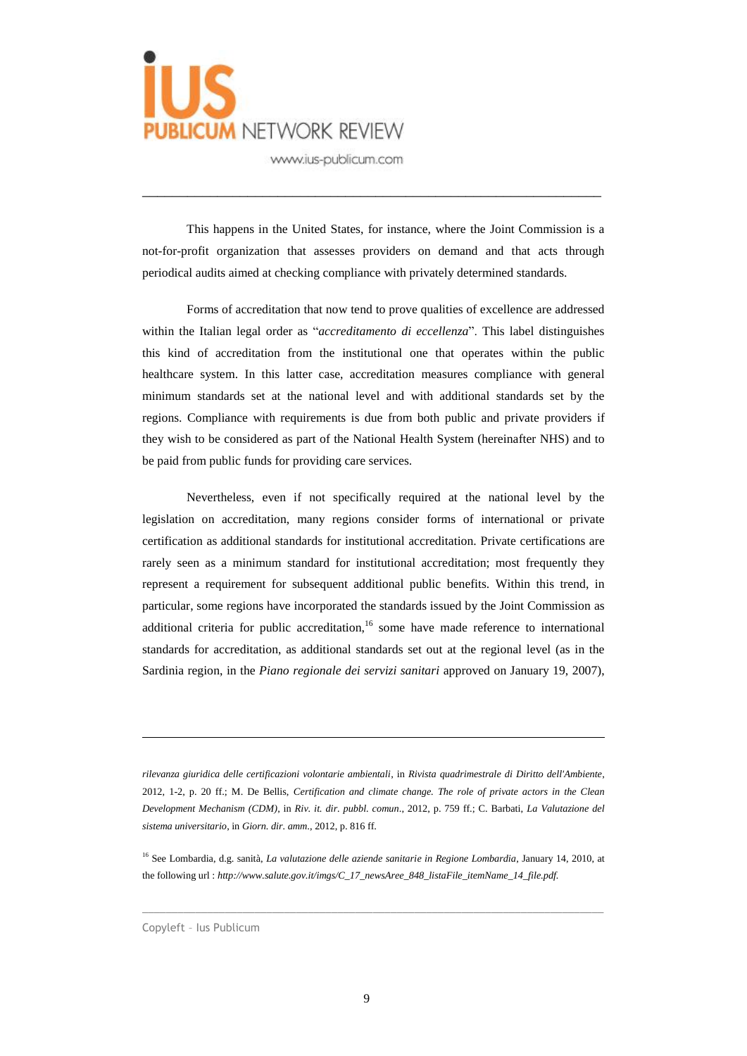

This happens in the United States, for instance, where the Joint Commission is a not-for-profit organization that assesses providers on demand and that acts through periodical audits aimed at checking compliance with privately determined standards.

\_\_\_\_\_\_\_\_\_\_\_\_\_\_\_\_\_\_\_\_\_\_\_\_\_\_\_\_\_\_\_\_\_\_\_\_\_\_\_\_\_\_\_\_\_\_\_\_\_\_\_\_\_\_\_\_\_\_\_\_\_

Forms of accreditation that now tend to prove qualities of excellence are addressed within the Italian legal order as "*accreditamento di eccellenza*". This label distinguishes this kind of accreditation from the institutional one that operates within the public healthcare system. In this latter case, accreditation measures compliance with general minimum standards set at the national level and with additional standards set by the regions. Compliance with requirements is due from both public and private providers if they wish to be considered as part of the National Health System (hereinafter NHS) and to be paid from public funds for providing care services.

Nevertheless, even if not specifically required at the national level by the legislation on accreditation, many regions consider forms of international or private certification as additional standards for institutional accreditation. Private certifications are rarely seen as a minimum standard for institutional accreditation; most frequently they represent a requirement for subsequent additional public benefits. Within this trend, in particular, some regions have incorporated the standards issued by the Joint Commission as additional criteria for public accreditation,<sup>16</sup> some have made reference to international standards for accreditation, as additional standards set out at the regional level (as in the Sardinia region, in the *Piano regionale dei servizi sanitari* approved on January 19, 2007),

*rilevanza giuridica delle certificazioni volontarie ambientali*, in *Rivista quadrimestrale di Diritto dell'Ambiente*, 2012, 1-2, p. 20 ff.; M. De Bellis, *Certification and climate change. The role of private actors in the Clean Development Mechanism (CDM)*, in *Riv. it. dir. pubbl. comun*., 2012, p. 759 ff.; C. Barbati, *La Valutazione del sistema universitario*, in *Giorn. dir. amm*., 2012, p. 816 ff.

<sup>16</sup> See Lombardia, d.g. sanità, *La valutazione delle aziende sanitarie in Regione Lombardia*, January 14, 2010, at the following url : *http://www.salute.gov.it/imgs/C\_17\_newsAree\_848\_listaFile\_itemName\_14\_file.pdf.*

 $\_$  , and the set of the set of the set of the set of the set of the set of the set of the set of the set of the set of the set of the set of the set of the set of the set of the set of the set of the set of the set of th

Copyleft – Ius Publicum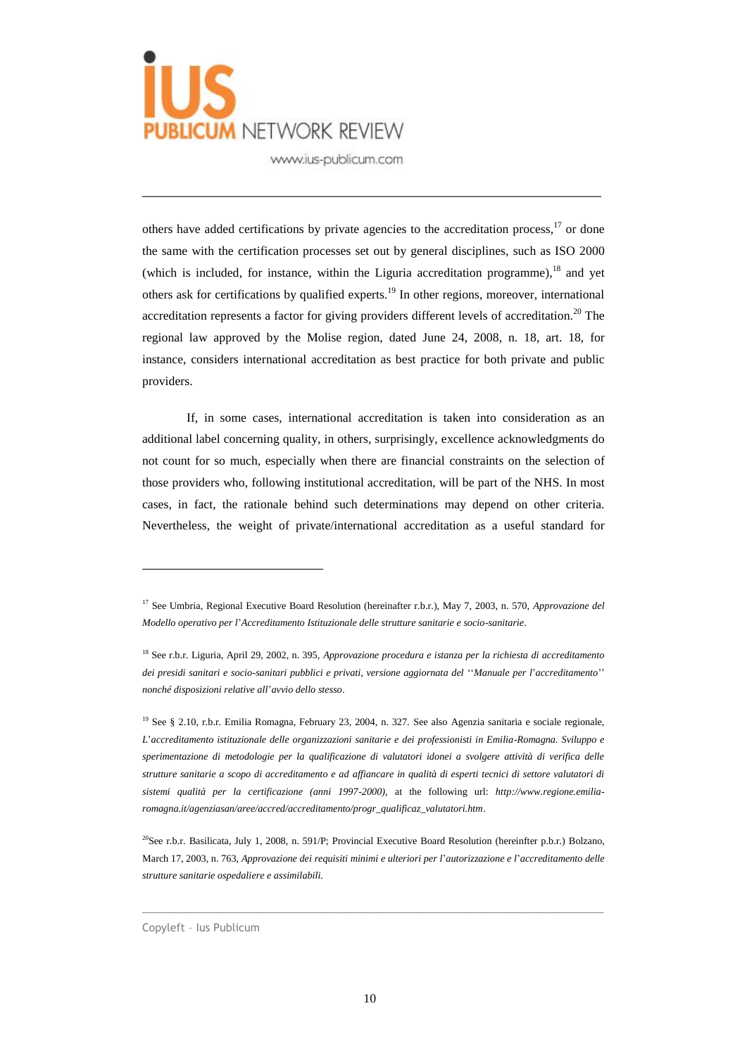

others have added certifications by private agencies to the accreditation process,<sup>17</sup> or done the same with the certification processes set out by general disciplines, such as ISO 2000 (which is included, for instance, within the Liguria accreditation programme),<sup>18</sup> and yet others ask for certifications by qualified experts.<sup>19</sup> In other regions, moreover, international accreditation represents a factor for giving providers different levels of accreditation.<sup>20</sup> The regional law approved by the Molise region, dated June 24, 2008, n. 18, art. 18, for instance, considers international accreditation as best practice for both private and public providers.

\_\_\_\_\_\_\_\_\_\_\_\_\_\_\_\_\_\_\_\_\_\_\_\_\_\_\_\_\_\_\_\_\_\_\_\_\_\_\_\_\_\_\_\_\_\_\_\_\_\_\_\_\_\_\_\_\_\_\_\_\_

If, in some cases, international accreditation is taken into consideration as an additional label concerning quality, in others, surprisingly, excellence acknowledgments do not count for so much, especially when there are financial constraints on the selection of those providers who, following institutional accreditation, will be part of the NHS. In most cases, in fact, the rationale behind such determinations may depend on other criteria. Nevertheless, the weight of private/international accreditation as a useful standard for

<sup>19</sup> See § 2.10, r.b.r. Emilia Romagna, February 23, 2004, n. 327. See also Agenzia sanitaria e sociale regionale, *L*'*accreditamento istituzionale delle organizzazioni sanitarie e dei professionisti in Emilia-Romagna. Sviluppo e sperimentazione di metodologie per la qualificazione di valutatori idonei a svolgere attività di verifica delle strutture sanitarie a scopo di accreditamento e ad affiancare in qualità di esperti tecnici di settore valutatori di sistemi qualità per la certificazione (anni 1997-2000)*, at the following url: *http://www.regione.emiliaromagna.it/agenziasan/aree/accred/accreditamento/progr\_qualificaz\_valutatori.htm*.

<sup>20</sup>See r.b.r. Basilicata, July 1, 2008, n. 591/P; Provincial Executive Board Resolution (hereinfter p.b.r.) Bolzano, March 17, 2003, n. 763, *Approvazione dei requisiti minimi e ulteriori per l*'*autorizzazione e l*'*accreditamento delle strutture sanitarie ospedaliere e assimilabili.*

 $\_$  , and the set of the set of the set of the set of the set of the set of the set of the set of the set of the set of the set of the set of the set of the set of the set of the set of the set of the set of the set of th

Copyleft – Ius Publicum

<sup>&</sup>lt;sup>17</sup> See Umbria, Regional Executive Board Resolution (hereinafter r.b.r.), May 7, 2003, n. 570, *Approvazione del Modello operativo per l*'*Accreditamento Istituzionale delle strutture sanitarie e socio-sanitarie*.

<sup>18</sup> See r.b.r. Liguria, April 29, 2002, n. 395, *Approvazione procedura e istanza per la richiesta di accreditamento dei presidi sanitari e socio-sanitari pubblici e privati, versione aggiornata del* ''*Manuale per l*'*accreditamento*'' *nonché disposizioni relative all*'*avvio dello stesso*.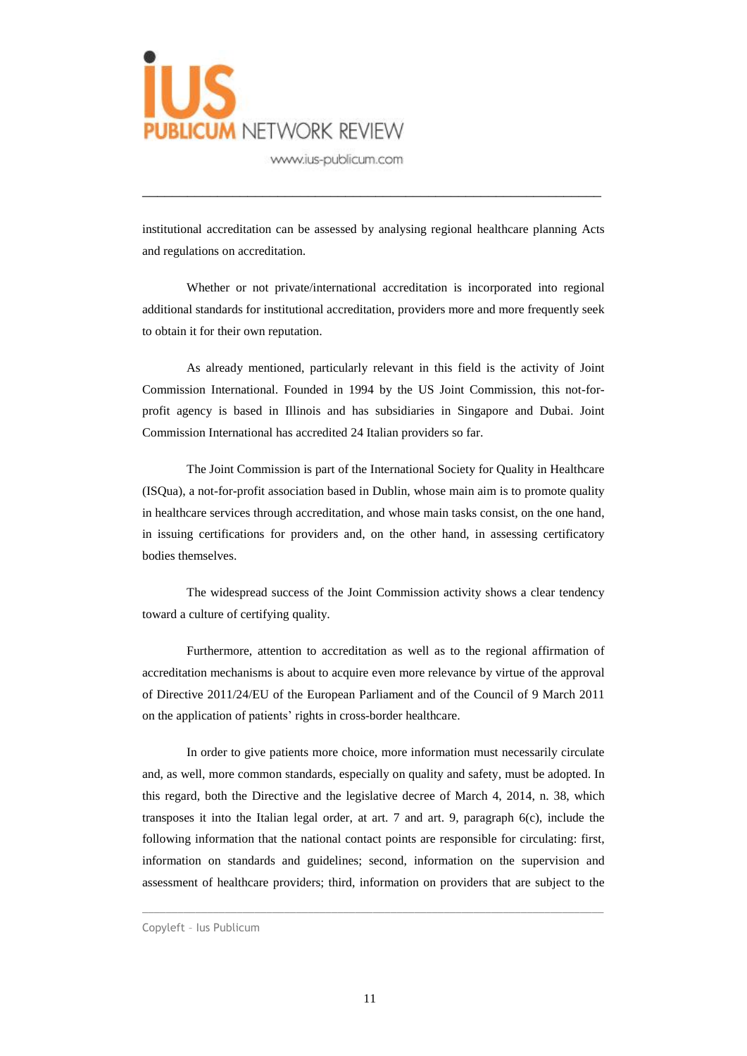

institutional accreditation can be assessed by analysing regional healthcare planning Acts and regulations on accreditation.

\_\_\_\_\_\_\_\_\_\_\_\_\_\_\_\_\_\_\_\_\_\_\_\_\_\_\_\_\_\_\_\_\_\_\_\_\_\_\_\_\_\_\_\_\_\_\_\_\_\_\_\_\_\_\_\_\_\_\_\_\_

Whether or not private/international accreditation is incorporated into regional additional standards for institutional accreditation, providers more and more frequently seek to obtain it for their own reputation.

As already mentioned, particularly relevant in this field is the activity of Joint Commission International. Founded in 1994 by the US Joint Commission, this not-forprofit agency is based in Illinois and has subsidiaries in Singapore and Dubai. Joint Commission International has accredited 24 Italian providers so far.

The Joint Commission is part of the International Society for Quality in Healthcare (ISQua), a not-for-profit association based in Dublin, whose main aim is to promote quality in healthcare services through accreditation, and whose main tasks consist, on the one hand, in issuing certifications for providers and, on the other hand, in assessing certificatory bodies themselves.

The widespread success of the Joint Commission activity shows a clear tendency toward a culture of certifying quality.

Furthermore, attention to accreditation as well as to the regional affirmation of accreditation mechanisms is about to acquire even more relevance by virtue of the approval of Directive 2011/24/EU of the European Parliament and of the Council of 9 March 2011 on the application of patients' rights in cross-border healthcare.

In order to give patients more choice, more information must necessarily circulate and, as well, more common standards, especially on quality and safety, must be adopted. In this regard, both the Directive and the legislative decree of March 4, 2014, n. 38, which transposes it into the Italian legal order, at art. 7 and art. 9, paragraph 6(c), include the following information that the national contact points are responsible for circulating: first, information on standards and guidelines; second, information on the supervision and assessment of healthcare providers; third, information on providers that are subject to the

 $\_$  , and the set of the set of the set of the set of the set of the set of the set of the set of the set of the set of the set of the set of the set of the set of the set of the set of the set of the set of the set of th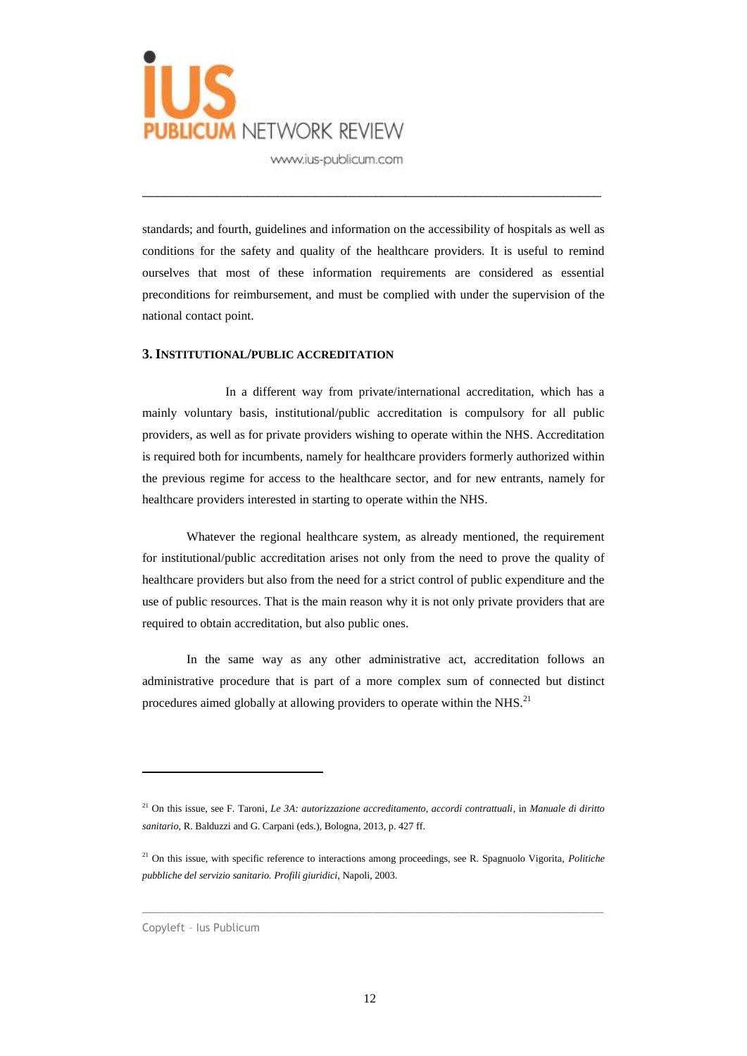

standards; and fourth, guidelines and information on the accessibility of hospitals as well as conditions for the safety and quality of the healthcare providers. It is useful to remind ourselves that most of these information requirements are considered as essential preconditions for reimbursement, and must be complied with under the supervision of the national contact point.

\_\_\_\_\_\_\_\_\_\_\_\_\_\_\_\_\_\_\_\_\_\_\_\_\_\_\_\_\_\_\_\_\_\_\_\_\_\_\_\_\_\_\_\_\_\_\_\_\_\_\_\_\_\_\_\_\_\_\_\_\_

### **3. INSTITUTIONAL/PUBLIC ACCREDITATION**

In a different way from private/international accreditation, which has a mainly voluntary basis, institutional/public accreditation is compulsory for all public providers, as well as for private providers wishing to operate within the NHS. Accreditation is required both for incumbents, namely for healthcare providers formerly authorized within the previous regime for access to the healthcare sector, and for new entrants, namely for healthcare providers interested in starting to operate within the NHS.

Whatever the regional healthcare system, as already mentioned, the requirement for institutional/public accreditation arises not only from the need to prove the quality of healthcare providers but also from the need for a strict control of public expenditure and the use of public resources. That is the main reason why it is not only private providers that are required to obtain accreditation, but also public ones.

In the same way as any other administrative act, accreditation follows an administrative procedure that is part of a more complex sum of connected but distinct procedures aimed globally at allowing providers to operate within the NHS.<sup>21</sup>

 $\_$  , and the set of the set of the set of the set of the set of the set of the set of the set of the set of the set of the set of the set of the set of the set of the set of the set of the set of the set of the set of th

<sup>21</sup> On this issue, see F. Taroni, *Le 3A: autorizzazione accreditamento, accordi contrattuali*, in *Manuale di diritto sanitario*, R. Balduzzi and G. Carpani (eds.), Bologna, 2013, p. 427 ff.

<sup>21</sup> On this issue, with specific reference to interactions among proceedings, see R. Spagnuolo Vigorita, *Politiche pubbliche del servizio sanitario. Profili giuridici*, Napoli, 2003.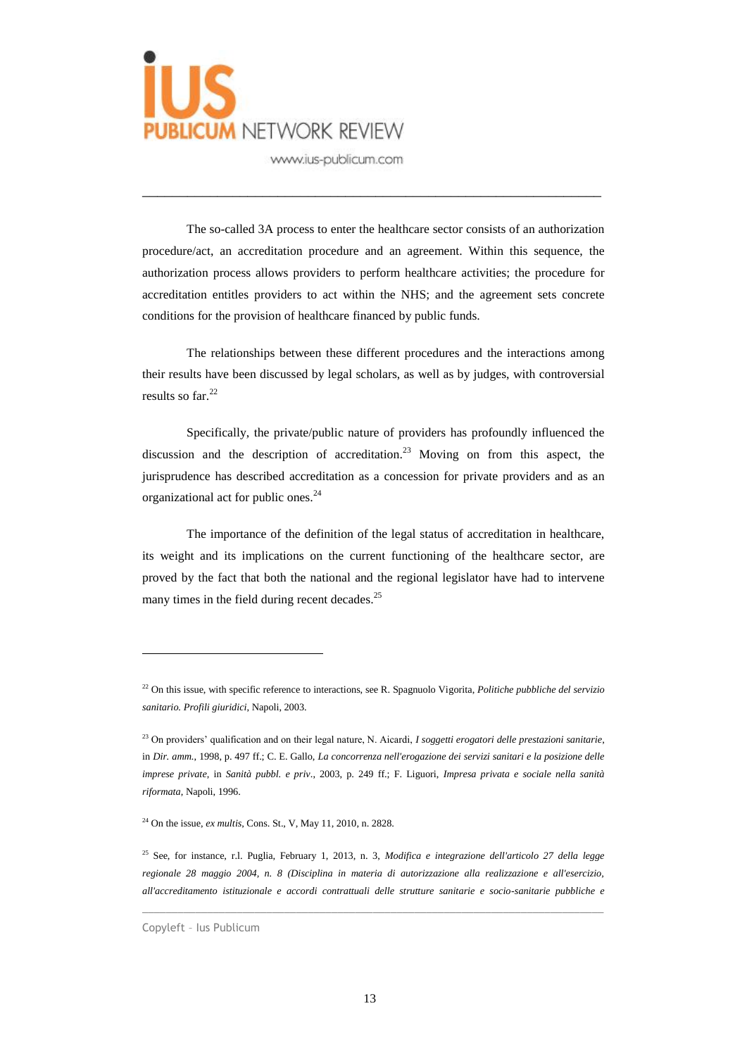

The so-called 3A process to enter the healthcare sector consists of an authorization procedure/act, an accreditation procedure and an agreement. Within this sequence, the authorization process allows providers to perform healthcare activities; the procedure for accreditation entitles providers to act within the NHS; and the agreement sets concrete conditions for the provision of healthcare financed by public funds.

\_\_\_\_\_\_\_\_\_\_\_\_\_\_\_\_\_\_\_\_\_\_\_\_\_\_\_\_\_\_\_\_\_\_\_\_\_\_\_\_\_\_\_\_\_\_\_\_\_\_\_\_\_\_\_\_\_\_\_\_\_

The relationships between these different procedures and the interactions among their results have been discussed by legal scholars, as well as by judges, with controversial results so far. 22

Specifically, the private/public nature of providers has profoundly influenced the discussion and the description of accreditation. <sup>23</sup> Moving on from this aspect, the jurisprudence has described accreditation as a concession for private providers and as an organizational act for public ones. 24

The importance of the definition of the legal status of accreditation in healthcare, its weight and its implications on the current functioning of the healthcare sector, are proved by the fact that both the national and the regional legislator have had to intervene many times in the field during recent decades.<sup>25</sup>

 $\_$  , and the set of the set of the set of the set of the set of the set of the set of the set of the set of the set of the set of the set of the set of the set of the set of the set of the set of the set of the set of th

<sup>22</sup> On this issue, with specific reference to interactions, see R. Spagnuolo Vigorita, *Politiche pubbliche del servizio sanitario. Profili giuridici*, Napoli, 2003.

<sup>23</sup> On providers' qualification and on their legal nature, N. Aicardi, *I soggetti erogatori delle prestazioni sanitarie*, in *Dir. amm.*, 1998, p. 497 ff.; C. E. Gallo, *La concorrenza nell'erogazione dei servizi sanitari e la posizione delle imprese private*, in *Sanità pubbl. e priv*., 2003, p. 249 ff.; F. Liguori, *Impresa privata e sociale nella sanità riformata*, Napoli, 1996.

<sup>24</sup> On the issue, *ex multis*, Cons. St., V, May 11, 2010, n. 2828.

<sup>25</sup> See, for instance, r.l. Puglia, February 1, 2013, n. 3, *Modifica e integrazione dell'articolo 27 della legge regionale 28 maggio 2004, n. 8 (Disciplina in materia di autorizzazione alla realizzazione e all'esercizio, all'accreditamento istituzionale e accordi contrattuali delle strutture sanitarie e socio-sanitarie pubbliche e* 

Copyleft – Ius Publicum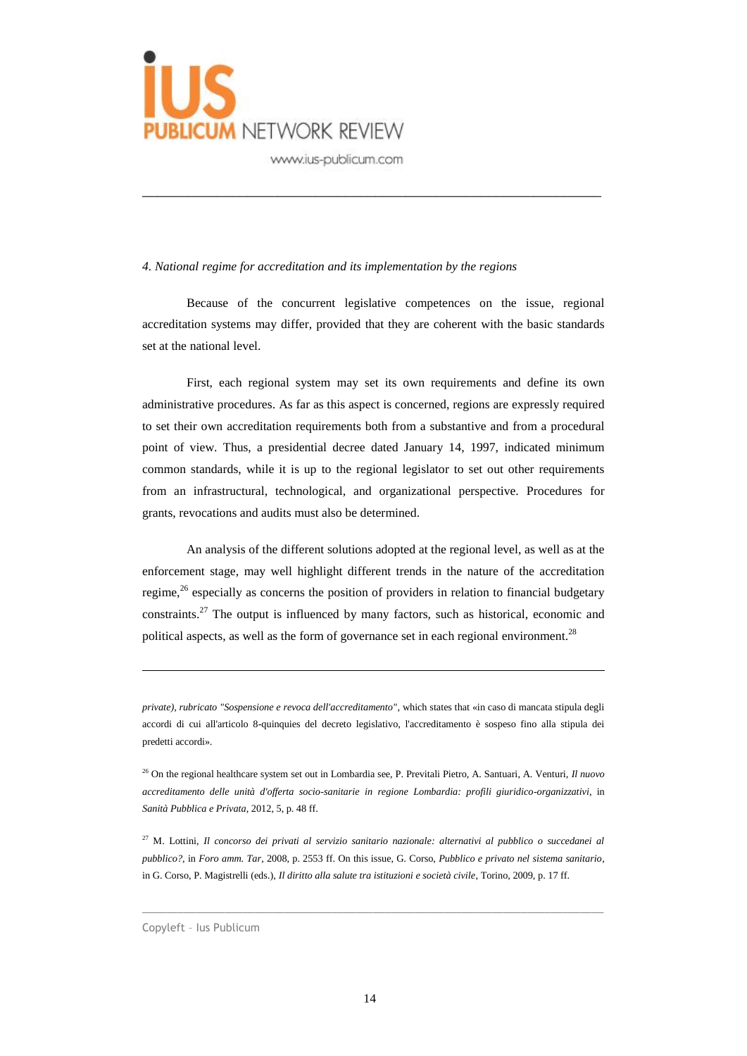

#### *4. National regime for accreditation and its implementation by the regions*

Because of the concurrent legislative competences on the issue, regional accreditation systems may differ, provided that they are coherent with the basic standards set at the national level.

\_\_\_\_\_\_\_\_\_\_\_\_\_\_\_\_\_\_\_\_\_\_\_\_\_\_\_\_\_\_\_\_\_\_\_\_\_\_\_\_\_\_\_\_\_\_\_\_\_\_\_\_\_\_\_\_\_\_\_\_\_

First, each regional system may set its own requirements and define its own administrative procedures. As far as this aspect is concerned, regions are expressly required to set their own accreditation requirements both from a substantive and from a procedural point of view. Thus, a presidential decree dated January 14, 1997, indicated minimum common standards, while it is up to the regional legislator to set out other requirements from an infrastructural, technological, and organizational perspective. Procedures for grants, revocations and audits must also be determined.

An analysis of the different solutions adopted at the regional level, as well as at the enforcement stage, may well highlight different trends in the nature of the accreditation regime,<sup>26</sup> especially as concerns the position of providers in relation to financial budgetary constraints.<sup>27</sup> The output is influenced by many factors, such as historical, economic and political aspects, as well as the form of governance set in each regional environment.<sup>28</sup>

<sup>27</sup> M. Lottini, *Il concorso dei privati al servizio sanitario nazionale: alternativi al pubblico o succedanei al pubblico?*, in *Foro amm. Tar*, 2008, p. 2553 ff. On this issue, G. Corso, *Pubblico e privato nel sistema sanitario*, in G. Corso, P. Magistrelli (eds.), *Il diritto alla salute tra istituzioni e società civile*, Torino, 2009, p. 17 ff.

 $\_$  , and the set of the set of the set of the set of the set of the set of the set of the set of the set of the set of the set of the set of the set of the set of the set of the set of the set of the set of the set of th

*private), rubricato "Sospensione e revoca dell'accreditamento"*, which states that «in caso di mancata stipula degli accordi di cui all'articolo 8-quinquies del decreto legislativo, l'accreditamento è sospeso fino alla stipula dei predetti accordi».

<sup>26</sup> On the regional healthcare system set out in Lombardia see, P. Previtali Pietro, A. Santuari, A. Venturi, *Il nuovo accreditamento delle unità d'offerta socio-sanitarie in regione Lombardia: profili giuridico-organizzativi*, in *Sanità Pubblica e Privata*, 2012, 5, p. 48 ff.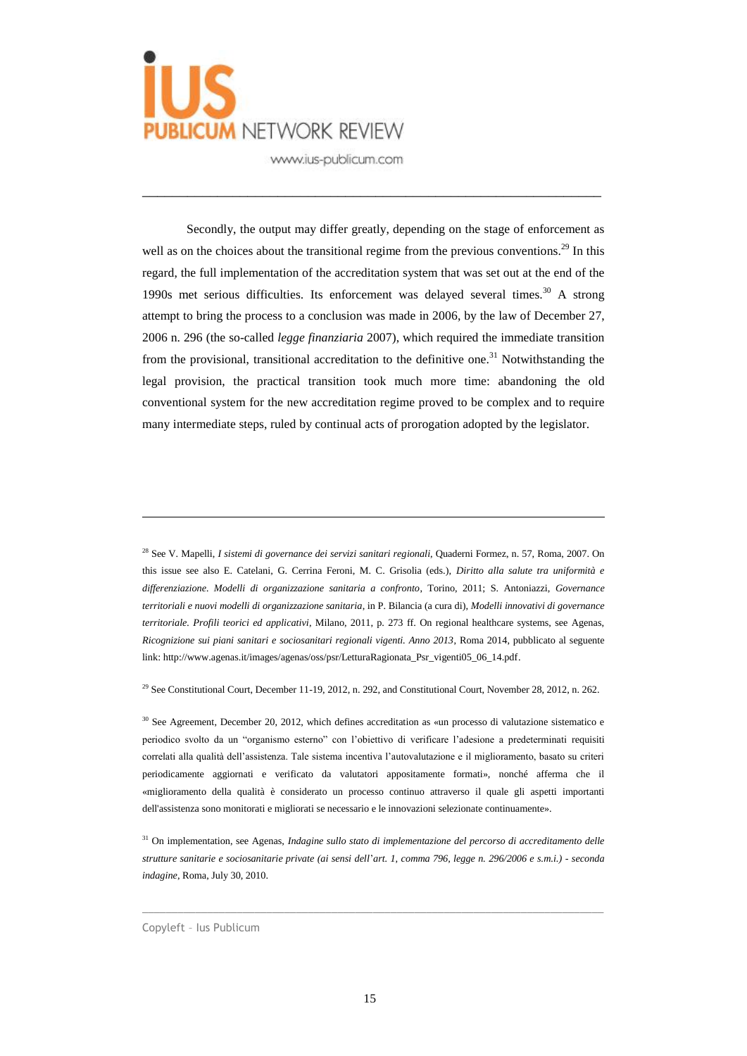

Secondly, the output may differ greatly, depending on the stage of enforcement as well as on the choices about the transitional regime from the previous conventions.<sup>29</sup> In this regard, the full implementation of the accreditation system that was set out at the end of the 1990s met serious difficulties. Its enforcement was delayed several times. <sup>30</sup> A strong attempt to bring the process to a conclusion was made in 2006, by the law of December 27, 2006 n. 296 (the so-called *legge finanziaria* 2007), which required the immediate transition from the provisional, transitional accreditation to the definitive one.<sup>31</sup> Notwithstanding the legal provision, the practical transition took much more time: abandoning the old conventional system for the new accreditation regime proved to be complex and to require many intermediate steps, ruled by continual acts of prorogation adopted by the legislator.

\_\_\_\_\_\_\_\_\_\_\_\_\_\_\_\_\_\_\_\_\_\_\_\_\_\_\_\_\_\_\_\_\_\_\_\_\_\_\_\_\_\_\_\_\_\_\_\_\_\_\_\_\_\_\_\_\_\_\_\_\_

<sup>28</sup> See V. Mapelli, *I sistemi di governance dei servizi sanitari regionali*, Quaderni Formez, n. 57, Roma, 2007. On this issue see also E. Catelani, G. Cerrina Feroni, M. C. Grisolia (eds.), *Diritto alla salute tra uniformità e differenziazione. Modelli di organizzazione sanitaria a confronto*, Torino, 2011; S. Antoniazzi, *Governance territoriali e nuovi modelli di organizzazione sanitaria*, in P. Bilancia (a cura di), *Modelli innovativi di governance territoriale. Profili teorici ed applicativi*, Milano, 2011, p. 273 ff. On regional healthcare systems, see Agenas, *Ricognizione sui piani sanitari e sociosanitari regionali vigenti. Anno 2013*, Roma 2014, pubblicato al seguente link: http://www.agenas.it/images/agenas/oss/psr/LetturaRagionata\_Psr\_vigenti05\_06\_14.pdf.

<sup>29</sup> See Constitutional Court, December 11-19, 2012, n. 292, and Constitutional Court, November 28, 2012, n. 262.

<sup>30</sup> See Agreement, December 20, 2012, which defines accreditation as «un processo di valutazione sistematico e periodico svolto da un "organismo esterno" con l'obiettivo di verificare l'adesione a predeterminati requisiti correlati alla qualità dell'assistenza. Tale sistema incentiva l'autovalutazione e il miglioramento, basato su criteri periodicamente aggiornati e verificato da valutatori appositamente formati», nonché afferma che il «miglioramento della qualità è considerato un processo continuo attraverso il quale gli aspetti importanti dell'assistenza sono monitorati e migliorati se necessario e le innovazioni selezionate continuamente».

<sup>31</sup> On implementation, see Agenas, *Indagine sullo stato di implementazione del percorso di accreditamento delle strutture sanitarie e sociosanitarie private (ai sensi dell*'*art. 1, comma 796, legge n. 296/2006 e s.m.i.) - seconda indagine*, Roma, July 30, 2010.

 $\_$  , and the set of the set of the set of the set of the set of the set of the set of the set of the set of the set of the set of the set of the set of the set of the set of the set of the set of the set of the set of th

Copyleft – Ius Publicum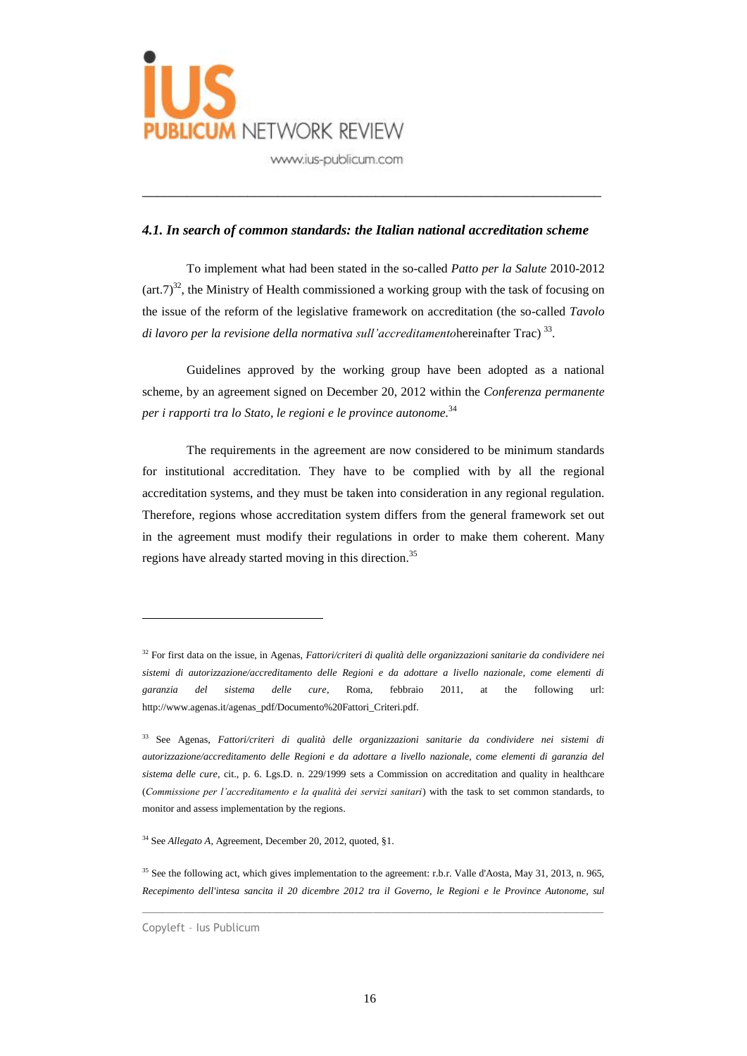

### *4.1. In search of common standards: the Italian national accreditation scheme*

\_\_\_\_\_\_\_\_\_\_\_\_\_\_\_\_\_\_\_\_\_\_\_\_\_\_\_\_\_\_\_\_\_\_\_\_\_\_\_\_\_\_\_\_\_\_\_\_\_\_\_\_\_\_\_\_\_\_\_\_\_

To implement what had been stated in the so-called *Patto per la Salute* 2010-2012  $(\text{art.7})^{32}$ , the Ministry of Health commissioned a working group with the task of focusing on the issue of the reform of the legislative framework on accreditation (the so-called *Tavolo di lavoro per la revisione della normativa sull'accreditamento*hereinafter Trac) 33 .

Guidelines approved by the working group have been adopted as a national scheme, by an agreement signed on December 20, 2012 within the *Conferenza permanente per i rapporti tra lo Stato, le regioni e le province autonome.* 34

The requirements in the agreement are now considered to be minimum standards for institutional accreditation. They have to be complied with by all the regional accreditation systems, and they must be taken into consideration in any regional regulation. Therefore, regions whose accreditation system differs from the general framework set out in the agreement must modify their regulations in order to make them coherent. Many regions have already started moving in this direction.<sup>35</sup>

 $\_$  , and the set of the set of the set of the set of the set of the set of the set of the set of the set of the set of the set of the set of the set of the set of the set of the set of the set of the set of the set of th

<sup>32</sup> For first data on the issue, in Agenas, *Fattori/criteri di qualità delle organizzazioni sanitarie da condividere nei sistemi di autorizzazione/accreditamento delle Regioni e da adottare a livello nazionale, come elementi di garanzia del sistema delle cure*, Roma, febbraio 2011, at the following url: http://www.agenas.it/agenas\_pdf/Documento%20Fattori\_Criteri.pdf.

<sup>33</sup> See Agenas, *Fattori/criteri di qualità delle organizzazioni sanitarie da condividere nei sistemi di autorizzazione/accreditamento delle Regioni e da adottare a livello nazionale, come elementi di garanzia del sistema delle cure*, cit., p. 6. Lgs.D. n. 229/1999 sets a Commission on accreditation and quality in healthcare (*Commissione per l'accreditamento e la qualità dei servizi sanitari*) with the task to set common standards, to monitor and assess implementation by the regions.

<sup>34</sup> See *Allegato A*, Agreement, December 20, 2012, quoted, §1.

<sup>35</sup> See the following act, which gives implementation to the agreement: r.b.r. Valle d'Aosta, May 31, 2013, n. 965, *Recepimento dell'intesa sancita il 20 dicembre 2012 tra il Governo, le Regioni e le Province Autonome, sul* 

Copyleft – Ius Publicum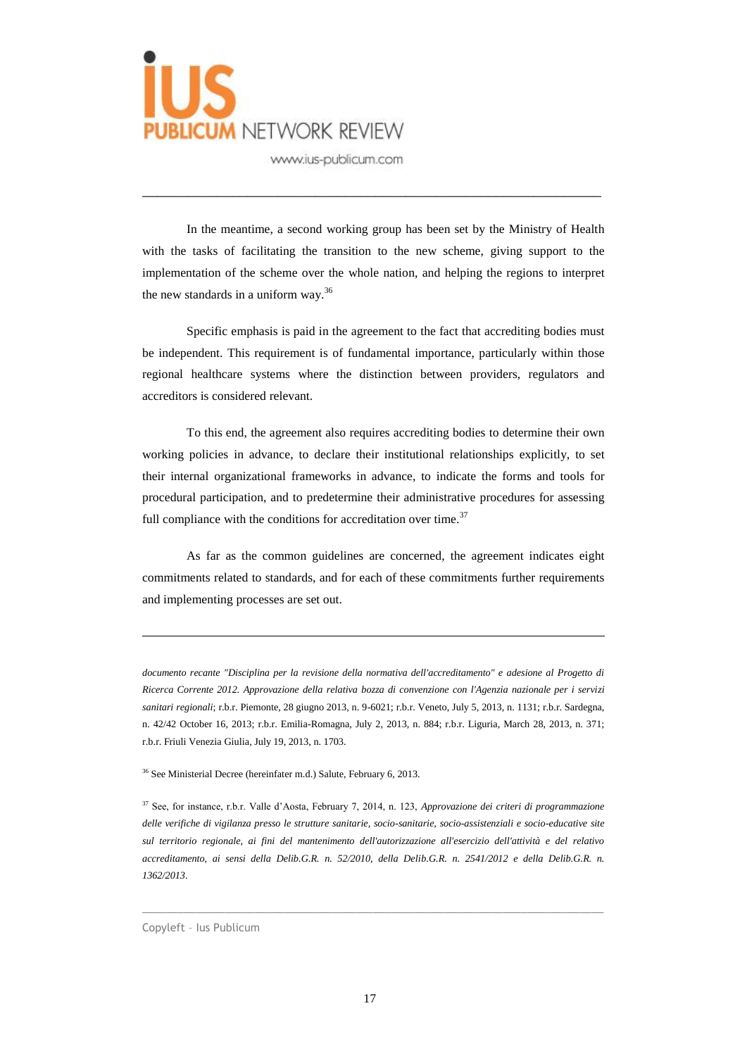

In the meantime, a second working group has been set by the Ministry of Health with the tasks of facilitating the transition to the new scheme, giving support to the implementation of the scheme over the whole nation, and helping the regions to interpret the new standards in a uniform way.<sup>36</sup>

\_\_\_\_\_\_\_\_\_\_\_\_\_\_\_\_\_\_\_\_\_\_\_\_\_\_\_\_\_\_\_\_\_\_\_\_\_\_\_\_\_\_\_\_\_\_\_\_\_\_\_\_\_\_\_\_\_\_\_\_\_

Specific emphasis is paid in the agreement to the fact that accrediting bodies must be independent. This requirement is of fundamental importance, particularly within those regional healthcare systems where the distinction between providers, regulators and accreditors is considered relevant.

To this end, the agreement also requires accrediting bodies to determine their own working policies in advance, to declare their institutional relationships explicitly, to set their internal organizational frameworks in advance, to indicate the forms and tools for procedural participation, and to predetermine their administrative procedures for assessing full compliance with the conditions for accreditation over time.<sup>37</sup>

As far as the common guidelines are concerned, the agreement indicates eight commitments related to standards, and for each of these commitments further requirements and implementing processes are set out.

*documento recante "Disciplina per la revisione della normativa dell'accreditamento" e adesione al Progetto di Ricerca Corrente 2012. Approvazione della relativa bozza di convenzione con l'Agenzia nazionale per i servizi sanitari regionali*; r.b.r. Piemonte, 28 giugno 2013, n. 9-6021; r.b.r. Veneto, July 5, 2013, n. 1131; r.b.r. Sardegna, n. 42/42 October 16, 2013; r.b.r. Emilia-Romagna, July 2, 2013, n. 884; r.b.r. Liguria, March 28, 2013, n. 371; r.b.r. Friuli Venezia Giulia, July 19, 2013, n. 1703.

<sup>36</sup> See Ministerial Decree (hereinfater m.d.) Salute, February 6, 2013.

<sup>37</sup> See, for instance, r.b.r. Valle d'Aosta, February 7, 2014, n. 123, *Approvazione dei criteri di programmazione delle verifiche di vigilanza presso le strutture sanitarie, socio-sanitarie, socio-assistenziali e socio-educative site sul territorio regionale, ai fini del mantenimento dell'autorizzazione all'esercizio dell'attività e del relativo accreditamento, ai sensi della Delib.G.R. n. 52/2010, della Delib.G.R. n. 2541/2012 e della Delib.G.R. n. 1362/2013*.

 $\_$  , and the set of the set of the set of the set of the set of the set of the set of the set of the set of the set of the set of the set of the set of the set of the set of the set of the set of the set of the set of th

Copyleft – Ius Publicum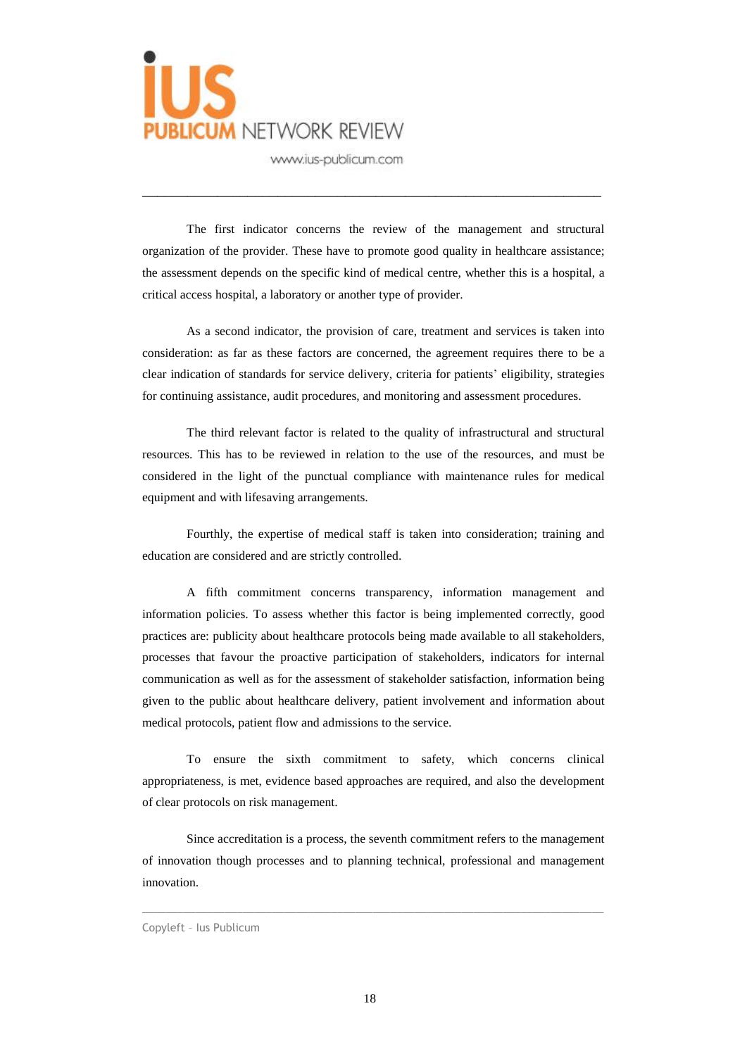

The first indicator concerns the review of the management and structural organization of the provider. These have to promote good quality in healthcare assistance; the assessment depends on the specific kind of medical centre, whether this is a hospital, a critical access hospital, a laboratory or another type of provider.

\_\_\_\_\_\_\_\_\_\_\_\_\_\_\_\_\_\_\_\_\_\_\_\_\_\_\_\_\_\_\_\_\_\_\_\_\_\_\_\_\_\_\_\_\_\_\_\_\_\_\_\_\_\_\_\_\_\_\_\_\_

As a second indicator, the provision of care, treatment and services is taken into consideration: as far as these factors are concerned, the agreement requires there to be a clear indication of standards for service delivery, criteria for patients' eligibility, strategies for continuing assistance, audit procedures, and monitoring and assessment procedures.

The third relevant factor is related to the quality of infrastructural and structural resources. This has to be reviewed in relation to the use of the resources, and must be considered in the light of the punctual compliance with maintenance rules for medical equipment and with lifesaving arrangements.

Fourthly, the expertise of medical staff is taken into consideration; training and education are considered and are strictly controlled.

A fifth commitment concerns transparency, information management and information policies. To assess whether this factor is being implemented correctly, good practices are: publicity about healthcare protocols being made available to all stakeholders, processes that favour the proactive participation of stakeholders, indicators for internal communication as well as for the assessment of stakeholder satisfaction, information being given to the public about healthcare delivery, patient involvement and information about medical protocols, patient flow and admissions to the service.

To ensure the sixth commitment to safety, which concerns clinical appropriateness, is met, evidence based approaches are required, and also the development of clear protocols on risk management.

Since accreditation is a process, the seventh commitment refers to the management of innovation though processes and to planning technical, professional and management innovation.

 $\_$  , and the set of the set of the set of the set of the set of the set of the set of the set of the set of the set of the set of the set of the set of the set of the set of the set of the set of the set of the set of th

#### Copyleft – Ius Publicum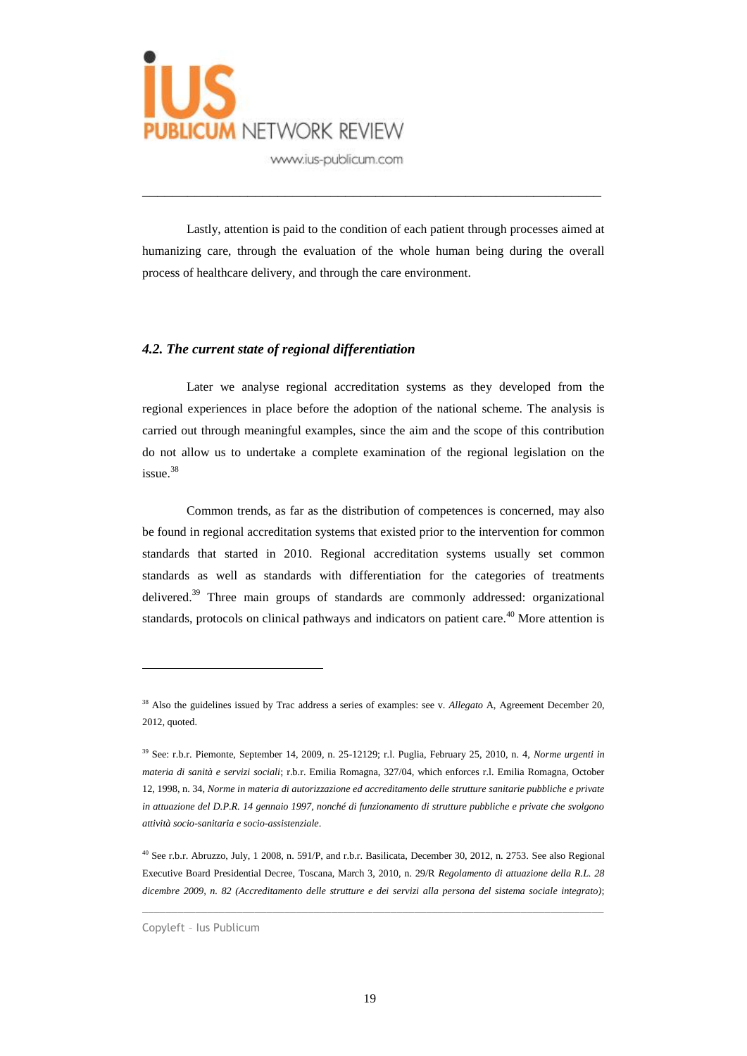

Lastly, attention is paid to the condition of each patient through processes aimed at humanizing care, through the evaluation of the whole human being during the overall process of healthcare delivery, and through the care environment.

\_\_\_\_\_\_\_\_\_\_\_\_\_\_\_\_\_\_\_\_\_\_\_\_\_\_\_\_\_\_\_\_\_\_\_\_\_\_\_\_\_\_\_\_\_\_\_\_\_\_\_\_\_\_\_\_\_\_\_\_\_

### *4.2. The current state of regional differentiation*

Later we analyse regional accreditation systems as they developed from the regional experiences in place before the adoption of the national scheme. The analysis is carried out through meaningful examples, since the aim and the scope of this contribution do not allow us to undertake a complete examination of the regional legislation on the issue. 38

Common trends, as far as the distribution of competences is concerned, may also be found in regional accreditation systems that existed prior to the intervention for common standards that started in 2010. Regional accreditation systems usually set common standards as well as standards with differentiation for the categories of treatments delivered.<sup>39</sup> Three main groups of standards are commonly addressed: organizational standards, protocols on clinical pathways and indicators on patient care.<sup>40</sup> More attention is

 $\_$  , and the set of the set of the set of the set of the set of the set of the set of the set of the set of the set of the set of the set of the set of the set of the set of the set of the set of the set of the set of th

<sup>38</sup> Also the guidelines issued by Trac address a series of examples: see v. *Allegato* A, Agreement December 20, 2012, quoted.

<sup>39</sup> See: r.b.r. Piemonte, September 14, 2009, n. 25-12129; r.l. Puglia, February 25, 2010, n. 4, *Norme urgenti in materia di sanità e servizi sociali*; r.b.r. Emilia Romagna, 327/04, which enforces r.l. Emilia Romagna, October 12, 1998, n. 34, *Norme in materia di autorizzazione ed accreditamento delle strutture sanitarie pubbliche e private in attuazione del D.P.R. 14 gennaio 1997, nonché di funzionamento di strutture pubbliche e private che svolgono attività socio-sanitaria e socio-assistenziale*.

<sup>40</sup> See r.b.r. Abruzzo, July, 1 2008, n. 591/P, and r.b.r. Basilicata, December 30, 2012, n. 2753. See also Regional Executive Board Presidential Decree, Toscana, March 3, 2010, n. 29/R *Regolamento di attuazione della R.L. 28 dicembre 2009, n. 82 (Accreditamento delle strutture e dei servizi alla persona del sistema sociale integrato)*;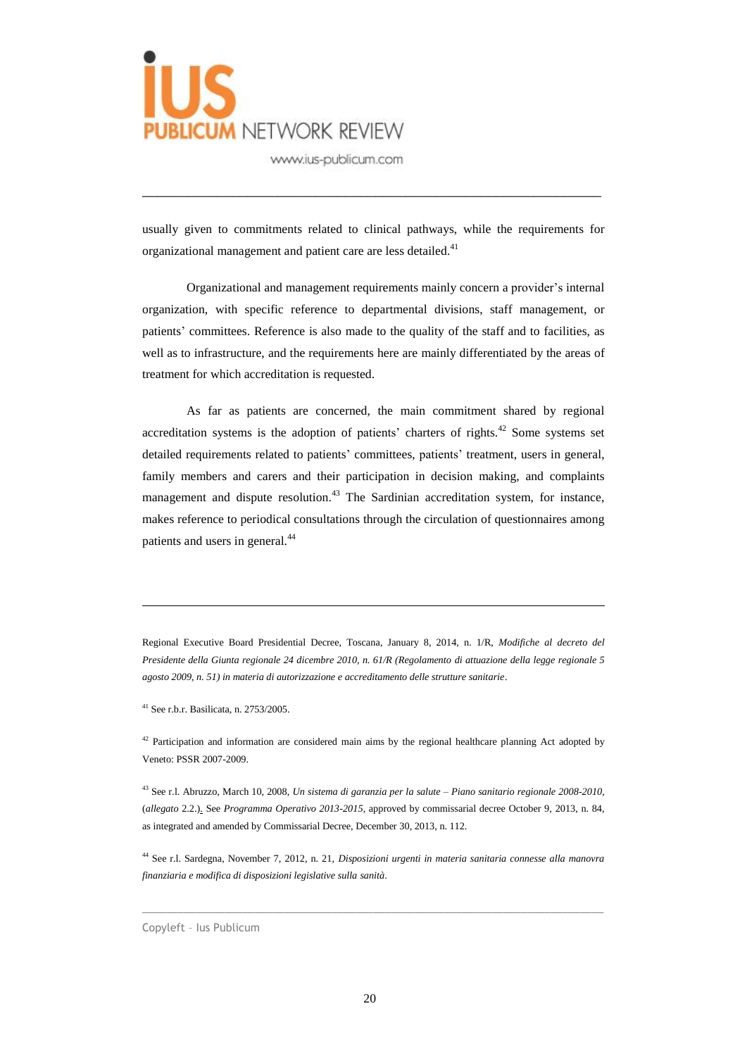

usually given to commitments related to clinical pathways, while the requirements for organizational management and patient care are less detailed.<sup>41</sup>

\_\_\_\_\_\_\_\_\_\_\_\_\_\_\_\_\_\_\_\_\_\_\_\_\_\_\_\_\_\_\_\_\_\_\_\_\_\_\_\_\_\_\_\_\_\_\_\_\_\_\_\_\_\_\_\_\_\_\_\_\_

Organizational and management requirements mainly concern a provider's internal organization, with specific reference to departmental divisions, staff management, or patients' committees. Reference is also made to the quality of the staff and to facilities, as well as to infrastructure, and the requirements here are mainly differentiated by the areas of treatment for which accreditation is requested.

As far as patients are concerned, the main commitment shared by regional accreditation systems is the adoption of patients' charters of rights.<sup>42</sup> Some systems set detailed requirements related to patients' committees, patients' treatment, users in general, family members and carers and their participation in decision making, and complaints management and dispute resolution.<sup>43</sup> The Sardinian accreditation system, for instance, makes reference to periodical consultations through the circulation of questionnaires among patients and users in general.<sup>44</sup>

Regional Executive Board Presidential Decree, Toscana, January 8, 2014, n. 1/R, *Modifiche al decreto del Presidente della Giunta regionale 24 dicembre 2010, n. 61/R (Regolamento di attuazione della legge regionale 5 agosto 2009, n. 51) in materia di autorizzazione e accreditamento delle strutture sanitarie*.

<sup>41</sup> See r.b.r. Basilicata, n. 2753/2005.

 $\overline{a}$ 

 $42$  Participation and information are considered main aims by the regional healthcare planning Act adopted by Veneto: PSSR 2007-2009.

<sup>43</sup> See r.l. Abruzzo, March 10, 2008, *Un sistema di garanzia per la salute – Piano sanitario regionale 2008-2010*, (*allegato* 2.2.). See *Programma Operativo 2013-2015*, approved by commissarial decree October 9, 2013, n. 84, as integrated and amended by Commissarial Decree, December 30, 2013, n. 112.

<sup>44</sup> See r.l. Sardegna, November 7, 2012, n. 21, *Disposizioni urgenti in materia sanitaria connesse alla manovra finanziaria e modifica di disposizioni legislative sulla sanità*.

 $\_$  , and the set of the set of the set of the set of the set of the set of the set of the set of the set of the set of the set of the set of the set of the set of the set of the set of the set of the set of the set of th

Copyleft – Ius Publicum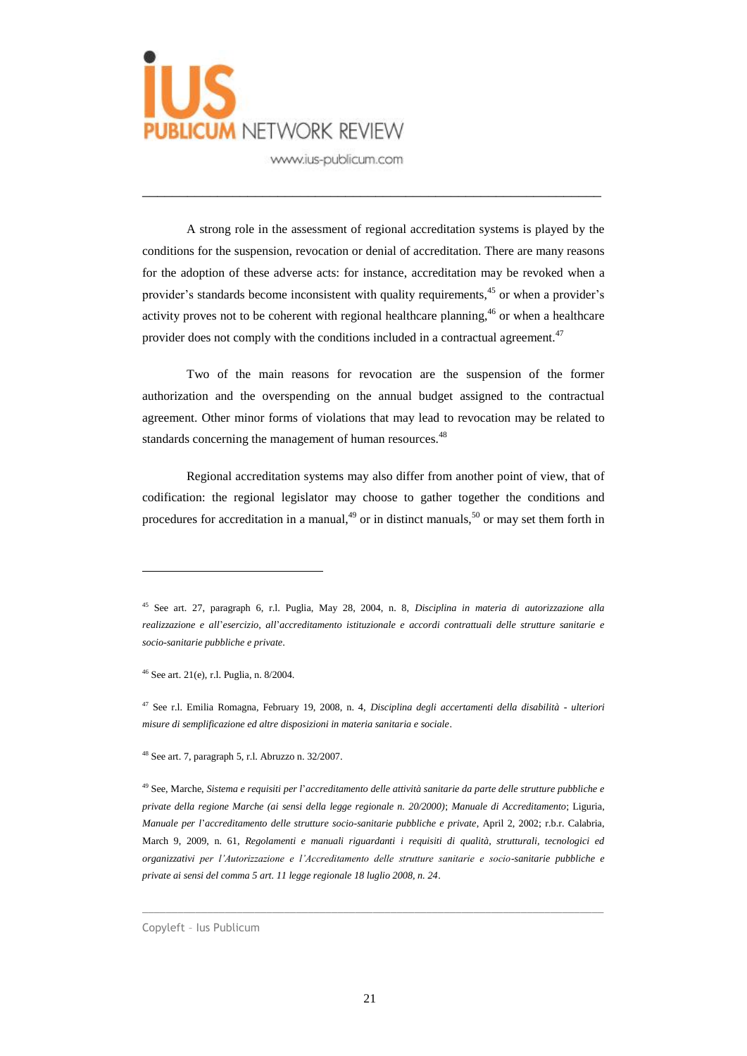

A strong role in the assessment of regional accreditation systems is played by the conditions for the suspension, revocation or denial of accreditation. There are many reasons for the adoption of these adverse acts: for instance, accreditation may be revoked when a provider's standards become inconsistent with quality requirements, <sup>45</sup> or when a provider's activity proves not to be coherent with regional healthcare planning, <sup>46</sup> or when a healthcare provider does not comply with the conditions included in a contractual agreement.<sup>47</sup>

\_\_\_\_\_\_\_\_\_\_\_\_\_\_\_\_\_\_\_\_\_\_\_\_\_\_\_\_\_\_\_\_\_\_\_\_\_\_\_\_\_\_\_\_\_\_\_\_\_\_\_\_\_\_\_\_\_\_\_\_\_

Two of the main reasons for revocation are the suspension of the former authorization and the overspending on the annual budget assigned to the contractual agreement. Other minor forms of violations that may lead to revocation may be related to standards concerning the management of human resources.<sup>48</sup>

Regional accreditation systems may also differ from another point of view, that of codification: the regional legislator may choose to gather together the conditions and procedures for accreditation in a manual,<sup>49</sup> or in distinct manuals,<sup>50</sup> or may set them forth in

<sup>46</sup> See art. 21(e), r.l. Puglia, n. 8/2004.

 $\overline{a}$ 

<sup>48</sup> See art. 7, paragraph 5, r.l. Abruzzo n. 32/2007.

<sup>49</sup> See, Marche, *Sistema e requisiti per l*'*accreditamento delle attività sanitarie da parte delle strutture pubbliche e private della regione Marche (ai sensi della legge regionale n. 20/2000)*; *Manuale di Accreditamento*; Liguria, *Manuale per l*'*accreditamento delle strutture socio-sanitarie pubbliche e private*, April 2, 2002; r.b.r. Calabria, March 9, 2009, n. 61, *Regolamenti e manuali riguardanti i requisiti di qualità, strutturali, tecnologici ed organizzativi per l'Autorizzazione e l'Accreditamento delle strutture sanitarie e socio-sanitarie pubbliche e private ai sensi del comma 5 art. 11 legge regionale 18 luglio 2008, n. 24*.

 $\_$  ,  $\_$  ,  $\_$  ,  $\_$  ,  $\_$  ,  $\_$  ,  $\_$  ,  $\_$  ,  $\_$  ,  $\_$  ,  $\_$  ,  $\_$  ,  $\_$  ,  $\_$  ,  $\_$  ,  $\_$  ,  $\_$  ,  $\_$  ,  $\_$  ,  $\_$  ,  $\_$  ,  $\_$  ,  $\_$  ,  $\_$  ,  $\_$  ,  $\_$  ,  $\_$  ,  $\_$  ,  $\_$  ,  $\_$  ,  $\_$  ,  $\_$  ,  $\_$  ,  $\_$  ,  $\_$  ,  $\_$  ,  $\_$  ,

Copyleft – Ius Publicum

<sup>45</sup> See art. 27, paragraph 6, r.l. Puglia, May 28, 2004, n. 8, *Disciplina in materia di autorizzazione alla realizzazione e all*'*esercizio, all*'*accreditamento istituzionale e accordi contrattuali delle strutture sanitarie e socio-sanitarie pubbliche e private*.

<sup>47</sup> See r.l. Emilia Romagna, February 19, 2008, n. 4, *Disciplina degli accertamenti della disabilità - ulteriori misure di semplificazione ed altre disposizioni in materia sanitaria e sociale*.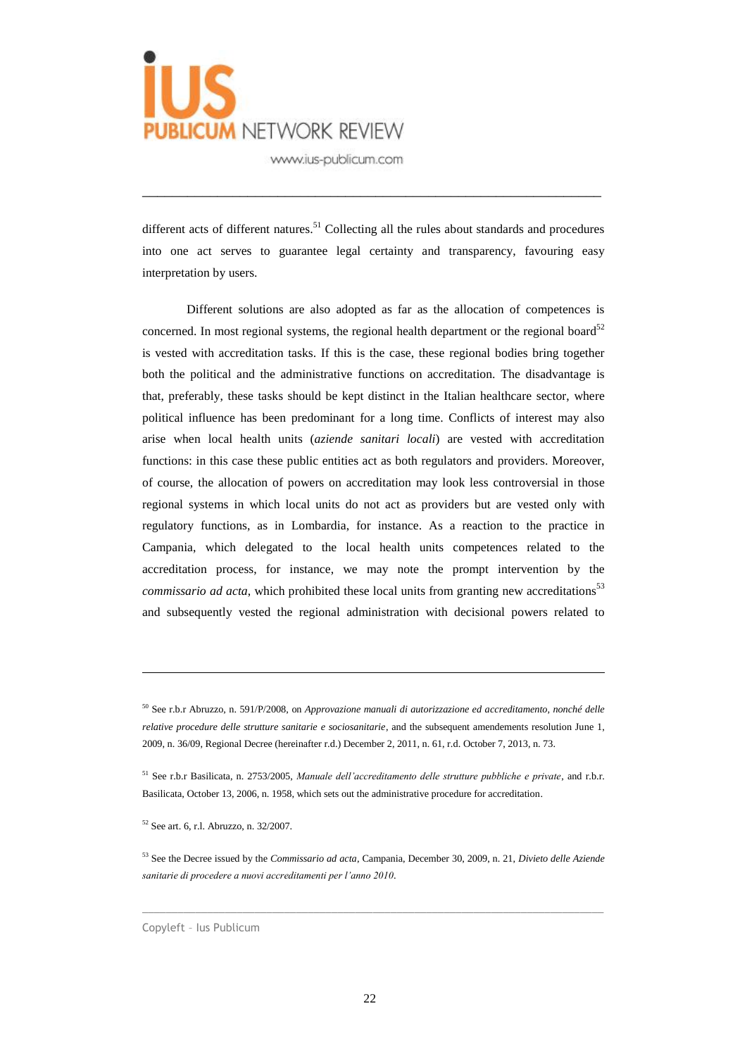

different acts of different natures.<sup>51</sup> Collecting all the rules about standards and procedures into one act serves to guarantee legal certainty and transparency, favouring easy interpretation by users.

\_\_\_\_\_\_\_\_\_\_\_\_\_\_\_\_\_\_\_\_\_\_\_\_\_\_\_\_\_\_\_\_\_\_\_\_\_\_\_\_\_\_\_\_\_\_\_\_\_\_\_\_\_\_\_\_\_\_\_\_\_

Different solutions are also adopted as far as the allocation of competences is concerned. In most regional systems, the regional health department or the regional board $52$ is vested with accreditation tasks. If this is the case, these regional bodies bring together both the political and the administrative functions on accreditation. The disadvantage is that, preferably, these tasks should be kept distinct in the Italian healthcare sector, where political influence has been predominant for a long time. Conflicts of interest may also arise when local health units (*aziende sanitari locali*) are vested with accreditation functions: in this case these public entities act as both regulators and providers. Moreover, of course, the allocation of powers on accreditation may look less controversial in those regional systems in which local units do not act as providers but are vested only with regulatory functions, as in Lombardia, for instance. As a reaction to the practice in Campania, which delegated to the local health units competences related to the accreditation process, for instance, we may note the prompt intervention by the *commissario ad acta*, which prohibited these local units from granting new accreditations 53 and subsequently vested the regional administration with decisional powers related to

 $\overline{a}$ 

<sup>50</sup> See r.b.r Abruzzo, n. 591/P/2008, on *Approvazione manuali di autorizzazione ed accreditamento, nonché delle relative procedure delle strutture sanitarie e sociosanitarie*, and the subsequent amendements resolution June 1, 2009, n. 36/09, Regional Decree (hereinafter r.d.) December 2, 2011, n. 61, r.d. October 7, 2013, n. 73.

<sup>51</sup> See r.b.r Basilicata, n. 2753/2005, *Manuale dell'accreditamento delle strutture pubbliche e private*, and r.b.r. Basilicata, October 13, 2006, n. 1958, which sets out the administrative procedure for accreditation.

<sup>52</sup> See art. 6, r.l. Abruzzo, n. 32/2007.

<sup>53</sup> See the Decree issued by the *Commissario ad acta*, Campania, December 30, 2009, n. 21, *Divieto delle Aziende sanitarie di procedere a nuovi accreditamenti per l'anno 2010*.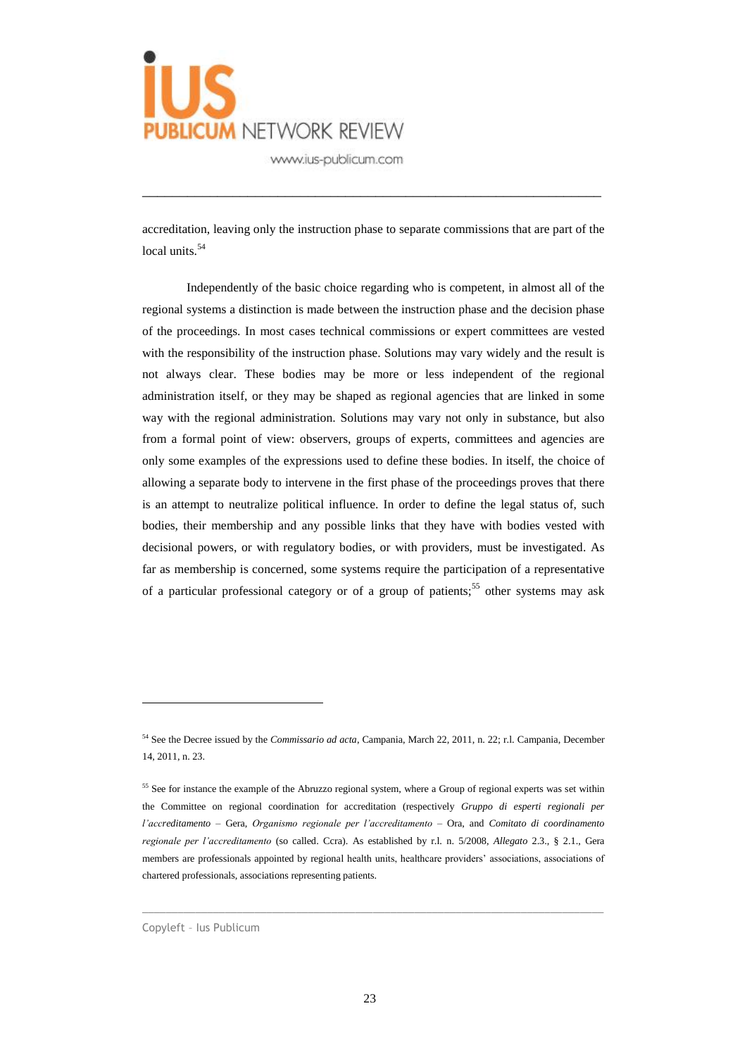

accreditation, leaving only the instruction phase to separate commissions that are part of the local units.<sup>54</sup>

\_\_\_\_\_\_\_\_\_\_\_\_\_\_\_\_\_\_\_\_\_\_\_\_\_\_\_\_\_\_\_\_\_\_\_\_\_\_\_\_\_\_\_\_\_\_\_\_\_\_\_\_\_\_\_\_\_\_\_\_\_

Independently of the basic choice regarding who is competent, in almost all of the regional systems a distinction is made between the instruction phase and the decision phase of the proceedings. In most cases technical commissions or expert committees are vested with the responsibility of the instruction phase. Solutions may vary widely and the result is not always clear. These bodies may be more or less independent of the regional administration itself, or they may be shaped as regional agencies that are linked in some way with the regional administration. Solutions may vary not only in substance, but also from a formal point of view: observers, groups of experts, committees and agencies are only some examples of the expressions used to define these bodies. In itself, the choice of allowing a separate body to intervene in the first phase of the proceedings proves that there is an attempt to neutralize political influence. In order to define the legal status of, such bodies, their membership and any possible links that they have with bodies vested with decisional powers, or with regulatory bodies, or with providers, must be investigated. As far as membership is concerned, some systems require the participation of a representative of a particular professional category or of a group of patients; <sup>55</sup> other systems may ask

 $\_$  ,  $\_$  ,  $\_$  ,  $\_$  ,  $\_$  ,  $\_$  ,  $\_$  ,  $\_$  ,  $\_$  ,  $\_$  ,  $\_$  ,  $\_$  ,  $\_$  ,  $\_$  ,  $\_$  ,  $\_$  ,  $\_$  ,  $\_$  ,  $\_$  ,  $\_$  ,  $\_$  ,  $\_$  ,  $\_$  ,  $\_$  ,  $\_$  ,  $\_$  ,  $\_$  ,  $\_$  ,  $\_$  ,  $\_$  ,  $\_$  ,  $\_$  ,  $\_$  ,  $\_$  ,  $\_$  ,  $\_$  ,  $\_$  ,

<sup>54</sup> See the Decree issued by the *Commissario ad acta*, Campania, March 22, 2011, n. 22; r.l. Campania, December 14, 2011, n. 23.

<sup>&</sup>lt;sup>55</sup> See for instance the example of the Abruzzo regional system, where a Group of regional experts was set within the Committee on regional coordination for accreditation (respectively *Gruppo di esperti regionali per l'accreditamento* – Gera, *Organismo regionale per l'accreditamento* – Ora, and *Comitato di coordinamento regionale per l'accreditamento* (so called. Ccra). As established by r.l. n. 5/2008, *Allegato* 2.3., § 2.1., Gera members are professionals appointed by regional health units, healthcare providers' associations, associations of chartered professionals, associations representing patients.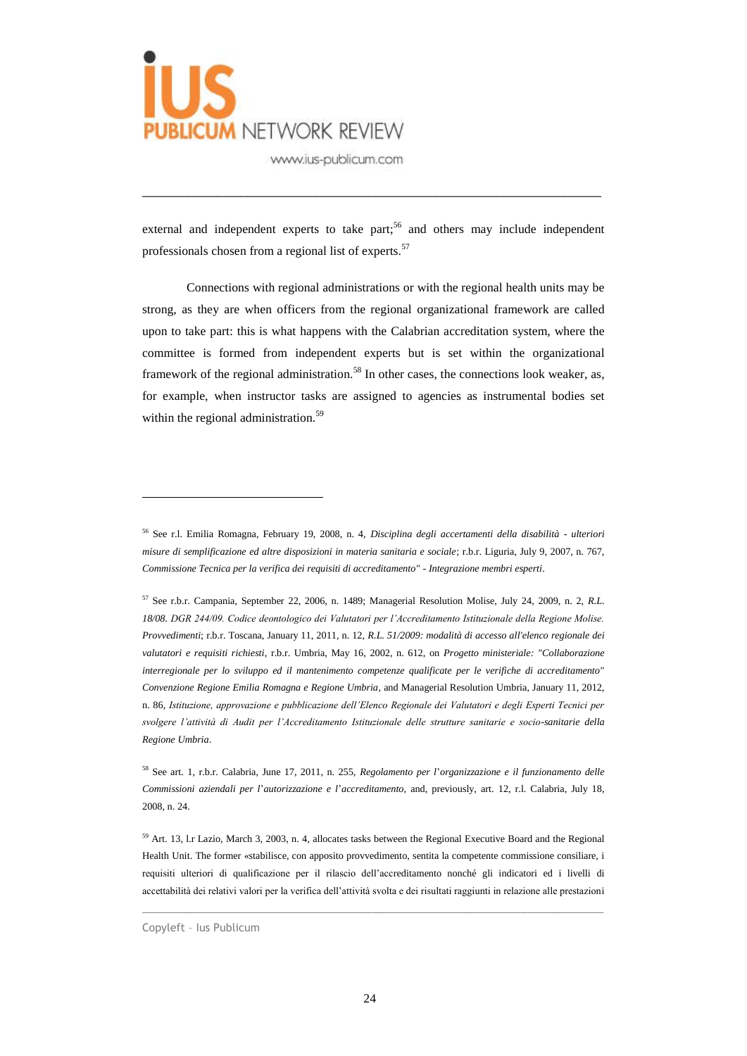

external and independent experts to take part;<sup>56</sup> and others may include independent professionals chosen from a regional list of experts.<sup>57</sup>

\_\_\_\_\_\_\_\_\_\_\_\_\_\_\_\_\_\_\_\_\_\_\_\_\_\_\_\_\_\_\_\_\_\_\_\_\_\_\_\_\_\_\_\_\_\_\_\_\_\_\_\_\_\_\_\_\_\_\_\_\_

Connections with regional administrations or with the regional health units may be strong, as they are when officers from the regional organizational framework are called upon to take part: this is what happens with the Calabrian accreditation system, where the committee is formed from independent experts but is set within the organizational framework of the regional administration.<sup>58</sup> In other cases, the connections look weaker, as, for example, when instructor tasks are assigned to agencies as instrumental bodies set within the regional administration.<sup>59</sup>

 $\_$  ,  $\_$  ,  $\_$  ,  $\_$  ,  $\_$  ,  $\_$  ,  $\_$  ,  $\_$  ,  $\_$  ,  $\_$  ,  $\_$  ,  $\_$  ,  $\_$  ,  $\_$  ,  $\_$  ,  $\_$  ,  $\_$  ,  $\_$  ,  $\_$  ,  $\_$  ,  $\_$  ,  $\_$  ,  $\_$  ,  $\_$  ,  $\_$  ,  $\_$  ,  $\_$  ,  $\_$  ,  $\_$  ,  $\_$  ,  $\_$  ,  $\_$  ,  $\_$  ,  $\_$  ,  $\_$  ,  $\_$  ,  $\_$  ,

<sup>56</sup> See r.l. Emilia Romagna, February 19, 2008, n. 4, *Disciplina degli accertamenti della disabilità - ulteriori misure di semplificazione ed altre disposizioni in materia sanitaria e sociale*; r.b.r. Liguria, July 9, 2007, n. 767, *Commissione Tecnica per la verifica dei requisiti di accreditamento" - Integrazione membri esperti*.

<sup>57</sup> See r.b.r. Campania, September 22, 2006, n. 1489; Managerial Resolution Molise, July 24, 2009, n. 2, *R.L. 18/08. DGR 244/09. Codice deontologico dei Valutatori per l'Accreditamento Istituzionale della Regione Molise. Provvedimenti*; r.b.r. Toscana, January 11, 2011, n. 12, *R.L. 51/2009: modalità di accesso all'elenco regionale dei valutatori e requisiti richiesti*, r.b.r. Umbria, May 16, 2002, n. 612, on *Progetto ministeriale: "Collaborazione interregionale per lo sviluppo ed il mantenimento competenze qualificate per le verifiche di accreditamento" Convenzione Regione Emilia Romagna e Regione Umbria*, and Managerial Resolution Umbria, January 11, 2012, n. 86, *Istituzione, approvazione e pubblicazione dell'Elenco Regionale dei Valutatori e degli Esperti Tecnici per svolgere l'attività di Audit per l'Accreditamento Istituzionale delle strutture sanitarie e socio-sanitarie della Regione Umbria*.

<sup>58</sup> See art. 1, r.b.r. Calabria, June 17, 2011, n. 255, *Regolamento per l*'*organizzazione e il funzionamento delle Commissioni aziendali per l*'*autorizzazione e l*'*accreditamento*, and, previously, art. 12, r.l. Calabria, July 18, 2008, n. 24.

<sup>59</sup> Art. 13, l.r Lazio, March 3, 2003, n. 4, allocates tasks between the Regional Executive Board and the Regional Health Unit. The former «stabilisce, con apposito provvedimento, sentita la competente commissione consiliare, i requisiti ulteriori di qualificazione per il rilascio dell'accreditamento nonché gli indicatori ed i livelli di accettabilità dei relativi valori per la verifica dell'attività svolta e dei risultati raggiunti in relazione alle prestazioni

Copyleft – Ius Publicum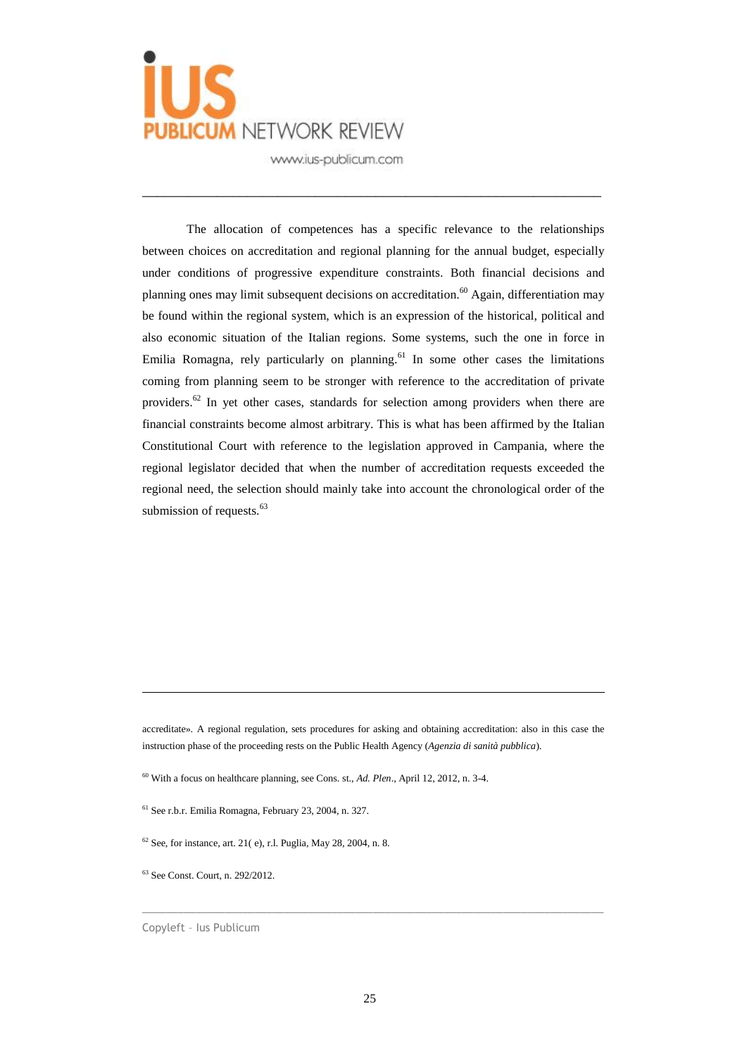

The allocation of competences has a specific relevance to the relationships between choices on accreditation and regional planning for the annual budget, especially under conditions of progressive expenditure constraints. Both financial decisions and planning ones may limit subsequent decisions on accreditation.<sup>60</sup> Again, differentiation may be found within the regional system, which is an expression of the historical, political and also economic situation of the Italian regions. Some systems, such the one in force in Emilia Romagna, rely particularly on planning.<sup>61</sup> In some other cases the limitations coming from planning seem to be stronger with reference to the accreditation of private providers.<sup>62</sup> In yet other cases, standards for selection among providers when there are financial constraints become almost arbitrary. This is what has been affirmed by the Italian Constitutional Court with reference to the legislation approved in Campania, where the regional legislator decided that when the number of accreditation requests exceeded the regional need, the selection should mainly take into account the chronological order of the submission of requests.<sup>63</sup>

\_\_\_\_\_\_\_\_\_\_\_\_\_\_\_\_\_\_\_\_\_\_\_\_\_\_\_\_\_\_\_\_\_\_\_\_\_\_\_\_\_\_\_\_\_\_\_\_\_\_\_\_\_\_\_\_\_\_\_\_\_

accreditate». A regional regulation, sets procedures for asking and obtaining accreditation: also in this case the instruction phase of the proceeding rests on the Public Health Agency (*Agenzia di sanità pubblica*).

<sup>60</sup> With a focus on healthcare planning, see Cons. st., *Ad. Plen*., April 12, 2012, n. 3-4.

 $61$  See r.b.r. Emilia Romagna, February 23, 2004, n. 327.

 $62$  See, for instance, art. 21(e), r.l. Puglia, May 28, 2004, n. 8.

<sup>63</sup> See Const. Court, n. 292/2012.

 $\overline{a}$ 

Copyleft – Ius Publicum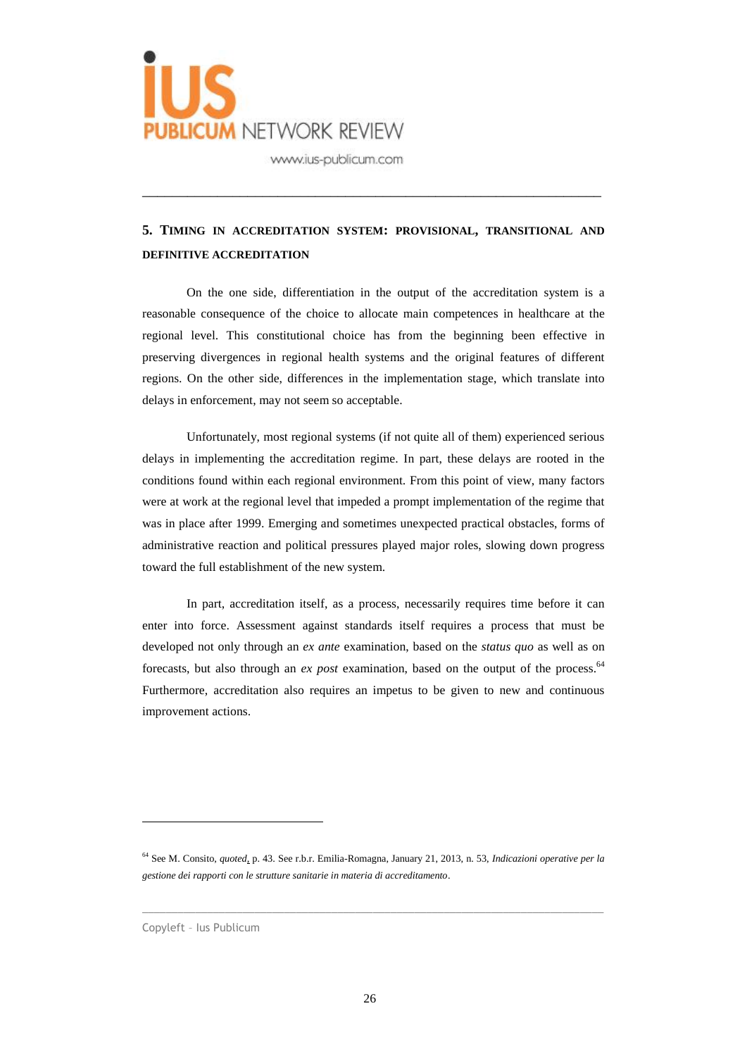

# **5. TIMING IN ACCREDITATION SYSTEM: PROVISIONAL, TRANSITIONAL AND DEFINITIVE ACCREDITATION**

\_\_\_\_\_\_\_\_\_\_\_\_\_\_\_\_\_\_\_\_\_\_\_\_\_\_\_\_\_\_\_\_\_\_\_\_\_\_\_\_\_\_\_\_\_\_\_\_\_\_\_\_\_\_\_\_\_\_\_\_\_

On the one side, differentiation in the output of the accreditation system is a reasonable consequence of the choice to allocate main competences in healthcare at the regional level. This constitutional choice has from the beginning been effective in preserving divergences in regional health systems and the original features of different regions. On the other side, differences in the implementation stage, which translate into delays in enforcement, may not seem so acceptable.

Unfortunately, most regional systems (if not quite all of them) experienced serious delays in implementing the accreditation regime. In part, these delays are rooted in the conditions found within each regional environment. From this point of view, many factors were at work at the regional level that impeded a prompt implementation of the regime that was in place after 1999. Emerging and sometimes unexpected practical obstacles, forms of administrative reaction and political pressures played major roles, slowing down progress toward the full establishment of the new system.

In part, accreditation itself, as a process, necessarily requires time before it can enter into force. Assessment against standards itself requires a process that must be developed not only through an *ex ante* examination, based on the *status quo* as well as on forecasts, but also through an *ex post* examination, based on the output of the process. 64 Furthermore, accreditation also requires an impetus to be given to new and continuous improvement actions.

 $\_$  ,  $\_$  ,  $\_$  ,  $\_$  ,  $\_$  ,  $\_$  ,  $\_$  ,  $\_$  ,  $\_$  ,  $\_$  ,  $\_$  ,  $\_$  ,  $\_$  ,  $\_$  ,  $\_$  ,  $\_$  ,  $\_$  ,  $\_$  ,  $\_$  ,  $\_$  ,  $\_$  ,  $\_$  ,  $\_$  ,  $\_$  ,  $\_$  ,  $\_$  ,  $\_$  ,  $\_$  ,  $\_$  ,  $\_$  ,  $\_$  ,  $\_$  ,  $\_$  ,  $\_$  ,  $\_$  ,  $\_$  ,  $\_$  ,

Copyleft – Ius Publicum

<sup>64</sup> See M. Consito, *quoted*, p. 43. See r.b.r. Emilia-Romagna, January 21, 2013, n. 53, *Indicazioni operative per la gestione dei rapporti con le strutture sanitarie in materia di accreditamento*.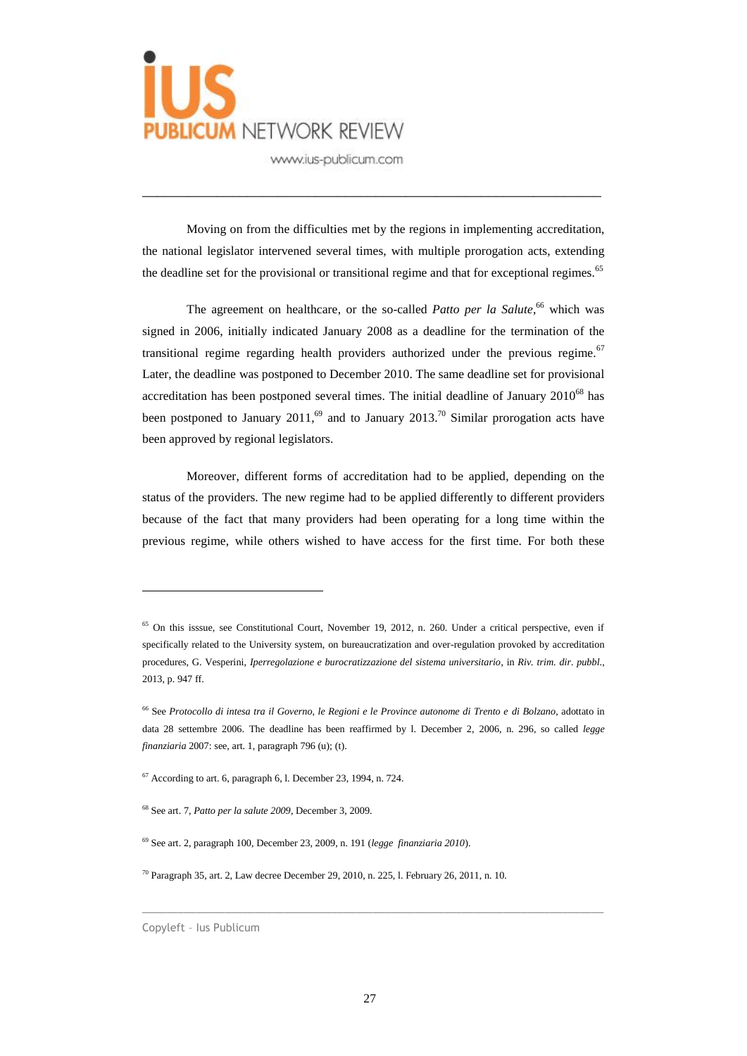

Moving on from the difficulties met by the regions in implementing accreditation, the national legislator intervened several times, with multiple prorogation acts, extending the deadline set for the provisional or transitional regime and that for exceptional regimes.<sup>65</sup>

\_\_\_\_\_\_\_\_\_\_\_\_\_\_\_\_\_\_\_\_\_\_\_\_\_\_\_\_\_\_\_\_\_\_\_\_\_\_\_\_\_\_\_\_\_\_\_\_\_\_\_\_\_\_\_\_\_\_\_\_\_

The agreement on healthcare, or the so-called *Patto per la Salute*, <sup>66</sup> which was signed in 2006, initially indicated January 2008 as a deadline for the termination of the transitional regime regarding health providers authorized under the previous regime.<sup>67</sup> Later, the deadline was postponed to December 2010. The same deadline set for provisional accreditation has been postponed several times. The initial deadline of January  $2010^{68}$  has been postponed to January 2011,<sup>69</sup> and to January 2013.<sup>70</sup> Similar prorogation acts have been approved by regional legislators.

Moreover, different forms of accreditation had to be applied, depending on the status of the providers. The new regime had to be applied differently to different providers because of the fact that many providers had been operating for a long time within the previous regime, while others wished to have access for the first time. For both these

 $\overline{a}$ 

<sup>&</sup>lt;sup>65</sup> On this isssue, see Constitutional Court, November 19, 2012, n. 260. Under a critical perspective, even if specifically related to the University system, on bureaucratization and over-regulation provoked by accreditation procedures, G. Vesperini, *Iperregolazione e burocratizzazione del sistema universitario*, in *Riv. trim. dir. pubbl*., 2013, p. 947 ff.

<sup>66</sup> See *Protocollo di intesa tra il Governo, le Regioni e le Province autonome di Trento e di Bolzano*, adottato in data 28 settembre 2006. The deadline has been reaffirmed by l. December 2, 2006, n. 296, so called *legge finanziaria* 2007: see, art. 1, paragraph 796 (u); (t).

 $67$  According to art. 6, paragraph 6, l. December 23, 1994, n. 724.

<sup>68</sup> See art. 7, *Patto per la salute 2009*, December 3, 2009.

<sup>69</sup> See art. 2, paragraph 100, December 23, 2009, n. 191 (*legge finanziaria 2010*).

 $70$  Paragraph 35, art. 2, Law decree December 29, 2010, n. 225, l. February 26, 2011, n. 10.

Copyleft – Ius Publicum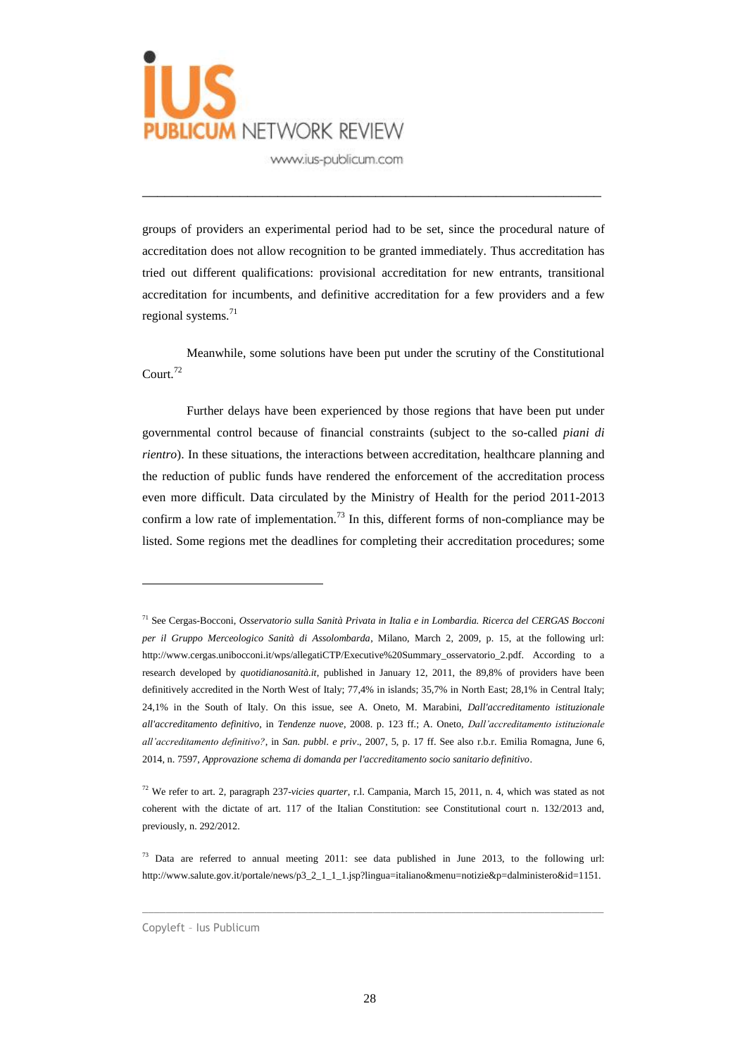

groups of providers an experimental period had to be set, since the procedural nature of accreditation does not allow recognition to be granted immediately. Thus accreditation has tried out different qualifications: provisional accreditation for new entrants, transitional accreditation for incumbents, and definitive accreditation for a few providers and a few regional systems. 71

\_\_\_\_\_\_\_\_\_\_\_\_\_\_\_\_\_\_\_\_\_\_\_\_\_\_\_\_\_\_\_\_\_\_\_\_\_\_\_\_\_\_\_\_\_\_\_\_\_\_\_\_\_\_\_\_\_\_\_\_\_

Meanwhile, some solutions have been put under the scrutiny of the Constitutional Court.<sup>72</sup>

Further delays have been experienced by those regions that have been put under governmental control because of financial constraints (subject to the so-called *piani di rientro*). In these situations, the interactions between accreditation, healthcare planning and the reduction of public funds have rendered the enforcement of the accreditation process even more difficult. Data circulated by the Ministry of Health for the period 2011-2013 confirm a low rate of implementation.<sup>73</sup> In this, different forms of non-compliance may be listed. Some regions met the deadlines for completing their accreditation procedures; some

 $\_$  ,  $\_$  ,  $\_$  ,  $\_$  ,  $\_$  ,  $\_$  ,  $\_$  ,  $\_$  ,  $\_$  ,  $\_$  ,  $\_$  ,  $\_$  ,  $\_$  ,  $\_$  ,  $\_$  ,  $\_$  ,  $\_$  ,  $\_$  ,  $\_$  ,  $\_$  ,  $\_$  ,  $\_$  ,  $\_$  ,  $\_$  ,  $\_$  ,  $\_$  ,  $\_$  ,  $\_$  ,  $\_$  ,  $\_$  ,  $\_$  ,  $\_$  ,  $\_$  ,  $\_$  ,  $\_$  ,  $\_$  ,  $\_$  ,

<sup>71</sup> See Cergas-Bocconi, *Osservatorio sulla Sanità Privata in Italia e in Lombardia. Ricerca del CERGAS Bocconi per il Gruppo Merceologico Sanità di Assolombarda*, Milano, March 2, 2009, p. 15, at the following url: http://www.cergas.unibocconi.it/wps/allegatiCTP/Executive%20Summary\_osservatorio\_2.pdf. According to a research developed by *quotidianosanità.it*, published in January 12, 2011, the 89,8% of providers have been definitively accredited in the North West of Italy; 77,4% in islands; 35,7% in North East; 28,1% in Central Italy; 24,1% in the South of Italy. On this issue, see A. Oneto, M. Marabini, *Dall'accreditamento istituzionale all'accreditamento definitivo*, in *Tendenze nuove*, 2008. p. 123 ff.; A. Oneto, *Dall'accreditamento istituzionale all'accreditamento definitivo?*, in *San. pubbl. e priv*., 2007, 5, p. 17 ff. See also r.b.r. Emilia Romagna, June 6, 2014, n. 7597, *Approvazione schema di domanda per l'accreditamento socio sanitario definitivo*.

<sup>72</sup> We refer to art. 2, paragraph 237-*vicies quarter*, r.l. Campania, March 15, 2011, n. 4, which was stated as not coherent with the dictate of art. 117 of the Italian Constitution: see Constitutional court n. 132/2013 and, previously, n. 292/2012.

<sup>&</sup>lt;sup>73</sup> Data are referred to annual meeting 2011: see data published in June 2013, to the following url: http://www.salute.gov.it/portale/news/p3\_2\_1\_1\_1.jsp?lingua=italiano&menu=notizie&p=dalministero&id=1151.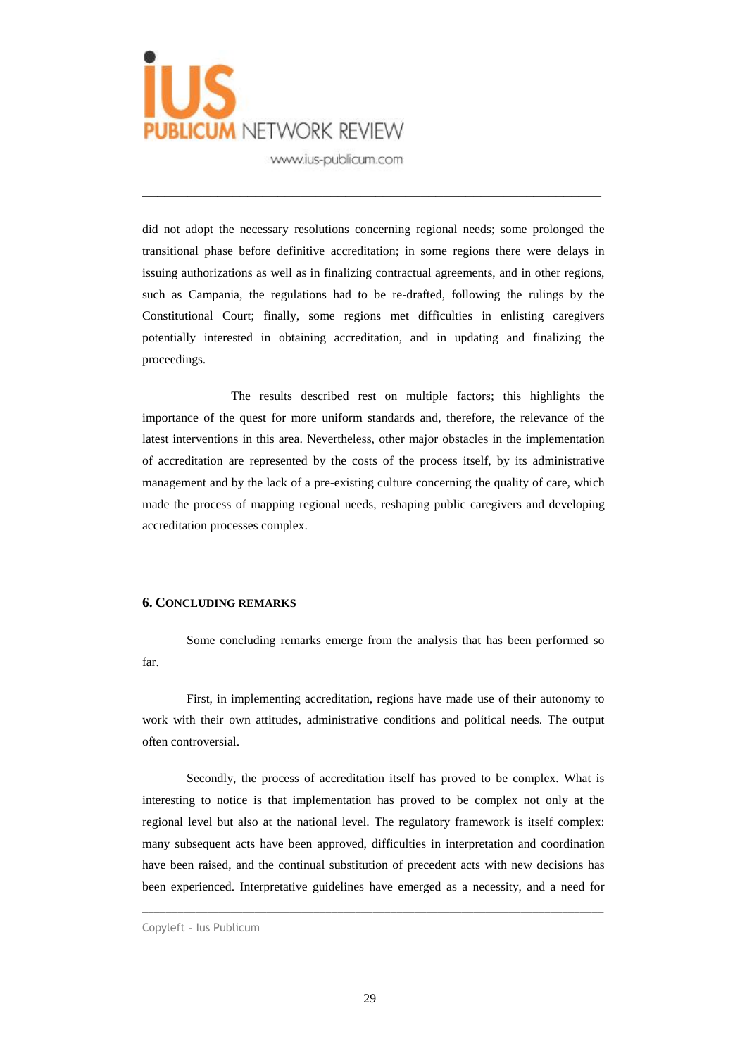

did not adopt the necessary resolutions concerning regional needs; some prolonged the transitional phase before definitive accreditation; in some regions there were delays in issuing authorizations as well as in finalizing contractual agreements, and in other regions, such as Campania, the regulations had to be re-drafted, following the rulings by the Constitutional Court; finally, some regions met difficulties in enlisting caregivers potentially interested in obtaining accreditation, and in updating and finalizing the proceedings.

\_\_\_\_\_\_\_\_\_\_\_\_\_\_\_\_\_\_\_\_\_\_\_\_\_\_\_\_\_\_\_\_\_\_\_\_\_\_\_\_\_\_\_\_\_\_\_\_\_\_\_\_\_\_\_\_\_\_\_\_\_

The results described rest on multiple factors; this highlights the importance of the quest for more uniform standards and, therefore, the relevance of the latest interventions in this area. Nevertheless, other major obstacles in the implementation of accreditation are represented by the costs of the process itself, by its administrative management and by the lack of a pre-existing culture concerning the quality of care, which made the process of mapping regional needs, reshaping public caregivers and developing accreditation processes complex.

#### **6. CONCLUDING REMARKS**

Some concluding remarks emerge from the analysis that has been performed so far.

First, in implementing accreditation, regions have made use of their autonomy to work with their own attitudes, administrative conditions and political needs. The output often controversial.

Secondly, the process of accreditation itself has proved to be complex. What is interesting to notice is that implementation has proved to be complex not only at the regional level but also at the national level. The regulatory framework is itself complex: many subsequent acts have been approved, difficulties in interpretation and coordination have been raised, and the continual substitution of precedent acts with new decisions has been experienced. Interpretative guidelines have emerged as a necessity, and a need for

Copyleft – Ius Publicum